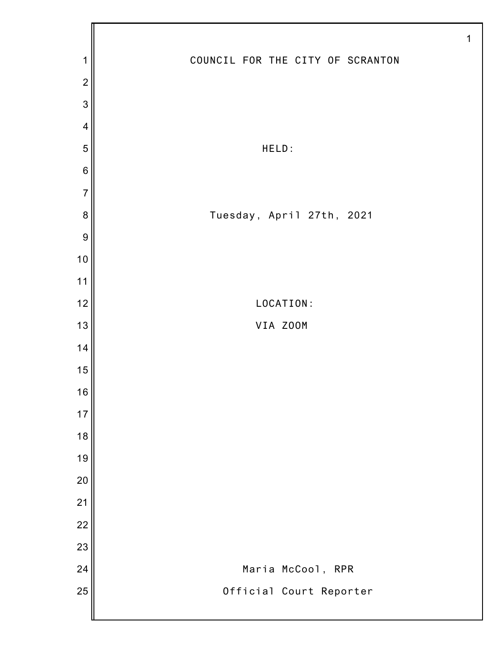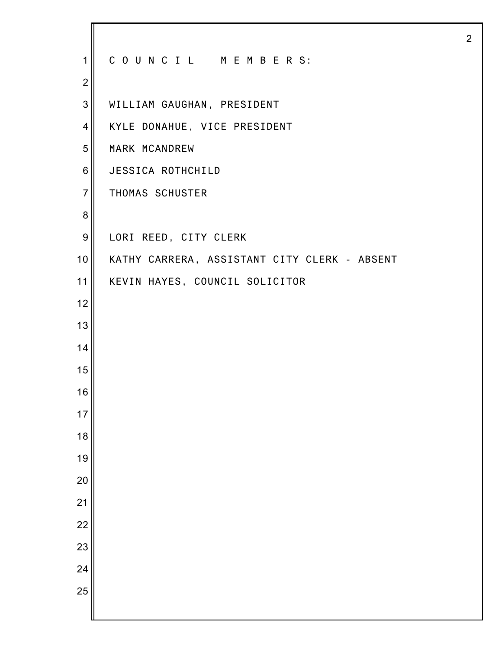| $\overline{1}$   | COUNCIL MEMBERS:                             |
|------------------|----------------------------------------------|
| $\overline{2}$   |                                              |
| 3                | WILLIAM GAUGHAN, PRESIDENT                   |
| $\overline{4}$   | KYLE DONAHUE, VICE PRESIDENT                 |
| 5                | MARK MCANDREW                                |
| $6\phantom{1}6$  | JESSICA ROTHCHILD                            |
| $\overline{7}$   | THOMAS SCHUSTER                              |
| 8                |                                              |
| $\boldsymbol{9}$ | LORI REED, CITY CLERK                        |
| 10               | KATHY CARRERA, ASSISTANT CITY CLERK - ABSENT |
| 11               | KEVIN HAYES, COUNCIL SOLICITOR               |
| 12               |                                              |
| 13               |                                              |
| 14               |                                              |
| 15               |                                              |
| 16               |                                              |
| 17               |                                              |
| 18               |                                              |
| 19               |                                              |
| 20               |                                              |
| 21               |                                              |
| 22               |                                              |
| 23               |                                              |
| 24               |                                              |
| 25               |                                              |
|                  |                                              |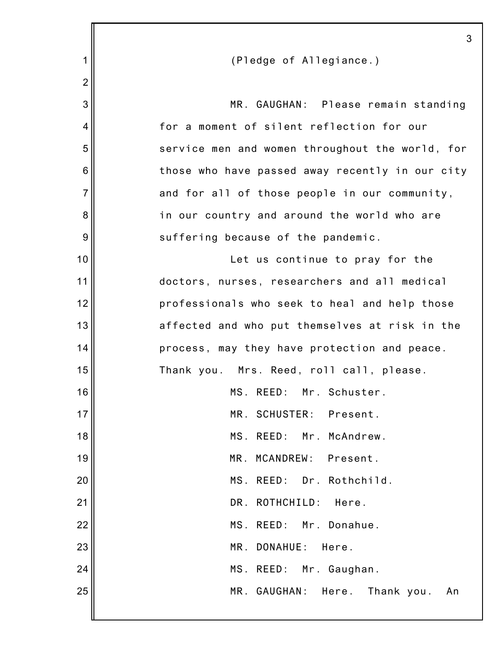|                 | 3                                               |
|-----------------|-------------------------------------------------|
| 1               | (Pledge of Allegiance.)                         |
| $\overline{2}$  |                                                 |
| 3               | MR. GAUGHAN: Please remain standing             |
| 4               | for a moment of silent reflection for our       |
| 5               | service men and women throughout the world, for |
| $6\phantom{1}6$ | those who have passed away recently in our city |
| $\overline{7}$  | and for all of those people in our community,   |
| 8               | in our country and around the world who are     |
| 9               | suffering because of the pandemic.              |
| 10              | Let us continue to pray for the                 |
| 11              | doctors, nurses, researchers and all medical    |
| 12              | professionals who seek to heal and help those   |
| 13              | affected and who put themselves at risk in the  |
| 14              | process, may they have protection and peace.    |
| 15              | Thank you. Mrs. Reed, roll call, please.        |
| 16              | Mr. Schuster.<br>MS. REED:                      |
| 17              | MR. SCHUSTER:<br>Present.                       |
| 18              | MS. REED: Mr. McAndrew.                         |
| 19              | MR. MCANDREW:<br>Present.                       |
| 20              | MS. REED: Dr. Rothchild.                        |
| 21              | DR. ROTHCHILD:<br>Here.                         |
| 22              | MS. REED:<br>Mr. Donahue.                       |
| 23              | MR.<br>DONAHUE:<br>Here.                        |
| 24              | MS. REED:<br>Mr. Gaughan.                       |
| 25              | MR. GAUGHAN: Here.<br>Thank you.<br>An          |
|                 |                                                 |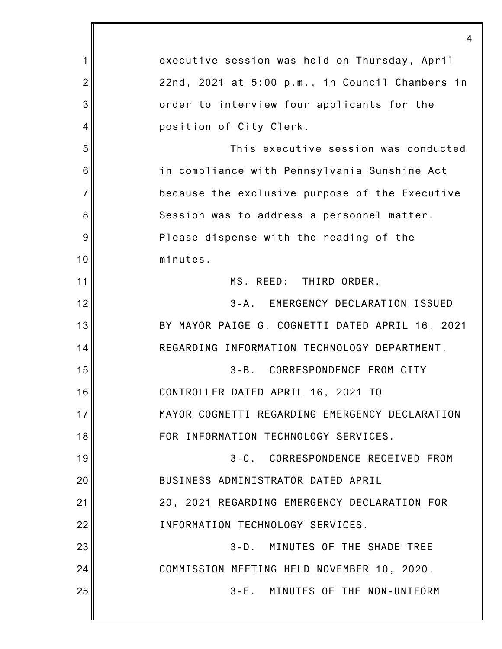1 2 3 4 5 6 7 8 9 10 11 12 13 14 15 16 17 18 19 20 21 22 23 24 25 4 executive session was held on Thursday, April 22nd, 2021 at 5:00 p.m., in Council Chambers in order to interview four applicants for the position of City Clerk. This executive session was conducted in compliance with Pennsylvania Sunshine Act because the exclusive purpose of the Executive Session was to address a personnel matter. Please dispense with the reading of the minutes. MS. REED: THIRD ORDER. 3-A. EMERGENCY DECLARATION ISSUED BY MAYOR PAIGE G. COGNETTI DATED APRIL 16, 2021 REGARDING INFORMATION TECHNOLOGY DEPARTMENT. 3-B. CORRESPONDENCE FROM CITY CONTROLLER DATED APRIL 16, 2021 TO MAYOR COGNETTI REGARDING EMERGENCY DECLARATION FOR INFORMATION TECHNOLOGY SERVICES. 3-C. CORRESPONDENCE RECEIVED FROM BUSINESS ADMINISTRATOR DATED APRIL 20, 2021 REGARDING EMERGENCY DECLARATION FOR INFORMATION TECHNOLOGY SERVICES. 3-D. MINUTES OF THE SHADE TREE COMMISSION MEETING HELD NOVEMBER 10, 2020. 3-E. MINUTES OF THE NON-UNIFORM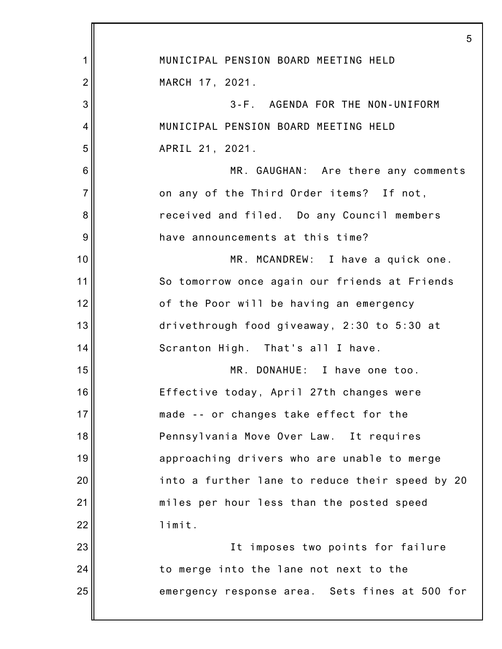|                | 5                                               |
|----------------|-------------------------------------------------|
| 1              | MUNICIPAL PENSION BOARD MEETING HELD            |
| $\overline{2}$ | MARCH 17, 2021.                                 |
| 3              | 3-F. AGENDA FOR THE NON-UNIFORM                 |
| 4              | MUNICIPAL PENSION BOARD MEETING HELD            |
| 5              | APRIL 21, 2021.                                 |
| 6              | MR. GAUGHAN: Are there any comments             |
| $\overline{7}$ | on any of the Third Order items? If not,        |
| 8              | received and filed. Do any Council members      |
| 9              | have announcements at this time?                |
| 10             | MR. MCANDREW: I have a quick one.               |
| 11             | So tomorrow once again our friends at Friends   |
| 12             | of the Poor will be having an emergency         |
| 13             | drivethrough food giveaway, 2:30 to 5:30 at     |
| 14             | Scranton High. That's all I have.               |
| 15             | MR. DONAHUE: I have one too.                    |
| 16             | Effective today, April 27th changes were        |
| 17             | made -- or changes take effect for the          |
| 18             | Pennsylvania Move Over Law. It requires         |
| 19             | approaching drivers who are unable to merge     |
| 20             | into a further lane to reduce their speed by 20 |
| 21             | miles per hour less than the posted speed       |
| 22             | limit.                                          |
| 23             | It imposes two points for failure               |
| 24             | to merge into the lane not next to the          |
| 25             | emergency response area. Sets fines at 500 for  |
|                |                                                 |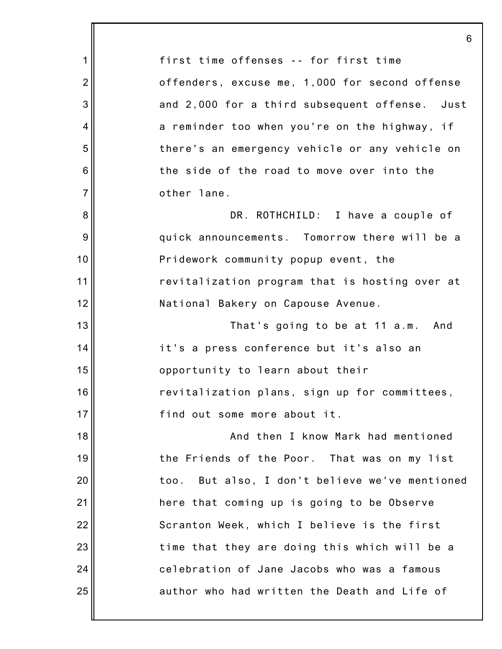|                | 6                                                 |
|----------------|---------------------------------------------------|
| 1              | first time offenses -- for first time             |
| $\overline{2}$ | offenders, excuse me, 1,000 for second offense    |
| 3              | and 2,000 for a third subsequent offense. Just    |
| 4              | a reminder too when you're on the highway, if     |
| 5              | there's an emergency vehicle or any vehicle on    |
| 6              | the side of the road to move over into the        |
| $\overline{7}$ | other lane.                                       |
| 8              | DR. ROTHCHILD: I have a couple of                 |
| 9              | quick announcements. Tomorrow there will be a     |
| 10             | Pridework community popup event, the              |
| 11             | revitalization program that is hosting over at    |
| 12             | National Bakery on Capouse Avenue.                |
| 13             | That's going to be at 11 a.m. And                 |
| 14             | it's a press conference but it's also an          |
| 15             | opportunity to learn about their                  |
| 16             | revitalization plans, sign up for committees,     |
| 17             | find out some more about it.                      |
| 18             | And then I know Mark had mentioned                |
| 19             | the Friends of the Poor. That was on my list      |
| 20             | But also, I don't believe we've mentioned<br>too. |
| 21             | here that coming up is going to be Observe        |
| 22             | Scranton Week, which I believe is the first       |
| 23             | time that they are doing this which will be a     |
| 24             | celebration of Jane Jacobs who was a famous       |
| 25             | author who had written the Death and Life of      |
|                |                                                   |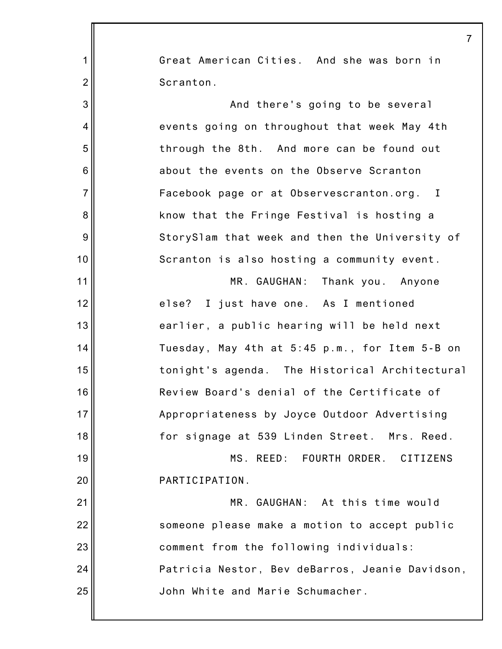|                | 7                                               |
|----------------|-------------------------------------------------|
| 1              | Great American Cities. And she was born in      |
| $\overline{2}$ | Scranton.                                       |
| 3              | And there's going to be several                 |
| 4              | events going on throughout that week May 4th    |
| 5              | through the 8th. And more can be found out      |
| 6              | about the events on the Observe Scranton        |
| $\overline{7}$ | Facebook page or at Observescranton.org. I      |
| 8              | know that the Fringe Festival is hosting a      |
| 9              | StorySlam that week and then the University of  |
| 10             | Scranton is also hosting a community event.     |
| 11             | MR. GAUGHAN: Thank you. Anyone                  |
| 12             | else? I just have one. As I mentioned           |
| 13             | earlier, a public hearing will be held next     |
| 14             | Tuesday, May 4th at 5:45 p.m., for Item 5-B on  |
| 15             | tonight's agenda. The Historical Architectural  |
| 16             | Review Board's denial of the Certificate of     |
| 17             | Appropriateness by Joyce Outdoor Advertising    |
| 18             | for signage at 539 Linden Street. Mrs. Reed.    |
| 19             | MS. REED: FOURTH ORDER. CITIZENS                |
| 20             | PARTICIPATION.                                  |
| 21             | MR. GAUGHAN: At this time would                 |
| 22             | someone please make a motion to accept public   |
| 23             | comment from the following individuals:         |
| 24             | Patricia Nestor, Bev deBarros, Jeanie Davidson, |
| 25             | John White and Marie Schumacher.                |
|                |                                                 |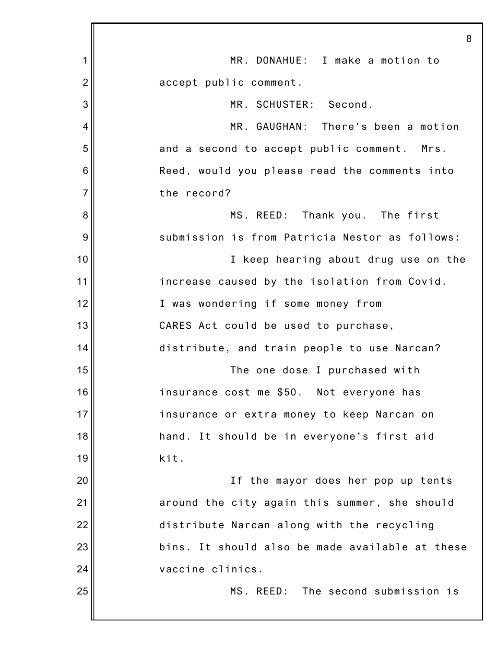|                | 8                                               |
|----------------|-------------------------------------------------|
| 1              | MR. DONAHUE: I make a motion to                 |
| $\overline{2}$ | accept public comment.                          |
| 3              | MR. SCHUSTER: Second.                           |
| $\overline{4}$ | MR. GAUGHAN: There's been a motion              |
| 5              | and a second to accept public comment. Mrs.     |
| 6              | Reed, would you please read the comments into   |
| $\overline{7}$ | the record?                                     |
| 8              | MS. REED: Thank you. The first                  |
| 9              | submission is from Patricia Nestor as follows:  |
| 10             | I keep hearing about drug use on the            |
| 11             | increase caused by the isolation from Covid.    |
| 12             | I was wondering if some money from              |
| 13             | CARES Act could be used to purchase,            |
| 14             | distribute, and train people to use Narcan?     |
| 15             | The one dose I purchased with                   |
| 16             | insurance cost me \$50. Not everyone has        |
| 17             | insurance or extra money to keep Narcan on      |
| 18             | hand. It should be in everyone's first aid      |
| 19             | kit.                                            |
| 20             | If the mayor does her pop up tents              |
| 21             | around the city again this summer, she should   |
| 22             | distribute Narcan along with the recycling      |
| 23             | bins. It should also be made available at these |
| 24             | vaccine clinics.                                |
| 25             | MS. REED: The second submission is              |
|                |                                                 |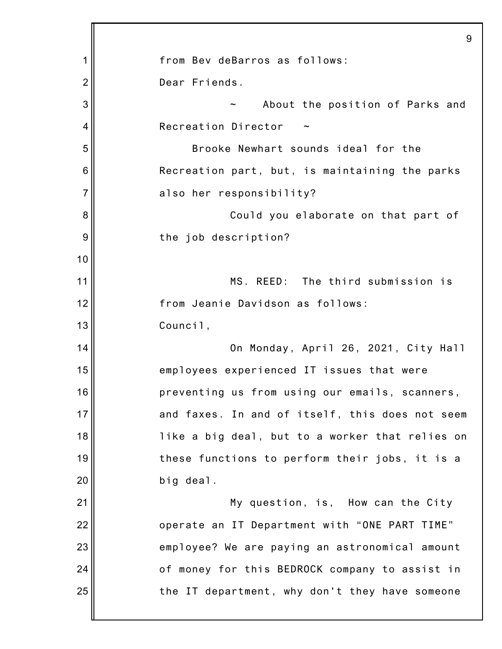|                | 9                                               |
|----------------|-------------------------------------------------|
| 1              | from Bev deBarros as follows:                   |
| $\overline{2}$ | Dear Friends.                                   |
| 3              | About the position of Parks and                 |
| 4              | Recreation Director                             |
| 5              | Brooke Newhart sounds ideal for the             |
| 6              | Recreation part, but, is maintaining the parks  |
| $\overline{7}$ | also her responsibility?                        |
| 8              | Could you elaborate on that part of             |
| 9              | the job description?                            |
| 10             |                                                 |
| 11             | MS. REED: The third submission is               |
| 12             | from Jeanie Davidson as follows:                |
| 13             | Council,                                        |
| 14             | On Monday, April 26, 2021, City Hall            |
| 15             | employees experienced IT issues that were       |
| 16             | preventing us from using our emails, scanners,  |
| 17             | and faxes. In and of itself, this does not seem |
| 18             | like a big deal, but to a worker that relies on |
| 19             | these functions to perform their jobs, it is a  |
| 20             | big deal.                                       |
| 21             | My question, is, How can the City               |
| 22             | operate an IT Department with "ONE PART TIME"   |
| 23             | employee? We are paying an astronomical amount  |
| 24             | of money for this BEDROCK company to assist in  |
| 25             | the IT department, why don't they have someone  |
|                |                                                 |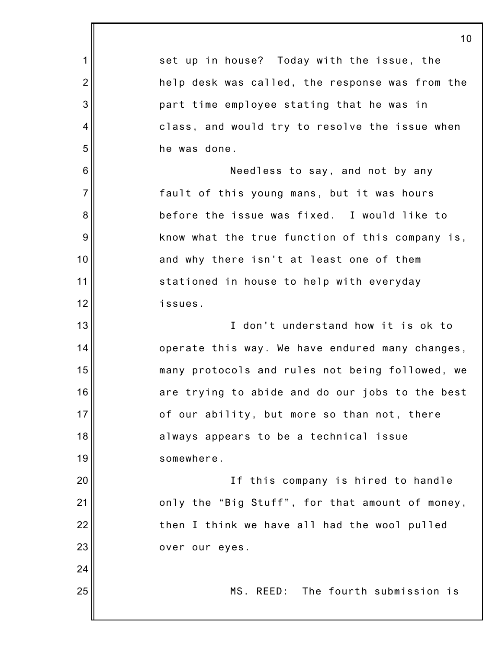|                | 10                                              |
|----------------|-------------------------------------------------|
| $\mathbf 1$    | set up in house? Today with the issue, the      |
| $\overline{2}$ | help desk was called, the response was from the |
| 3              | part time employee stating that he was in       |
| $\overline{4}$ | class, and would try to resolve the issue when  |
| 5              | he was done.                                    |
| $\,6$          | Needless to say, and not by any                 |
| $\overline{7}$ | fault of this young mans, but it was hours      |
| 8              | before the issue was fixed. I would like to     |
| $9\,$          | know what the true function of this company is, |
| 10             | and why there isn't at least one of them        |
| 11             | stationed in house to help with everyday        |
| 12             | issues.                                         |
| 13             | I don't understand how it is ok to              |
| 14             | operate this way. We have endured many changes, |
| 15             | many protocols and rules not being followed, we |
| 16             | are trying to abide and do our jobs to the best |
| 17             | of our ability, but more so than not, there     |
| 18             | always appears to be a technical issue          |
| 19             | somewhere.                                      |
| 20             | If this company is hired to handle              |
| 21             | only the "Big Stuff", for that amount of money, |
| 22             | then I think we have all had the wool pulled    |
| 23             | over our eyes.                                  |
| 24             |                                                 |
| 25             | MS. REED: The fourth submission is              |
|                |                                                 |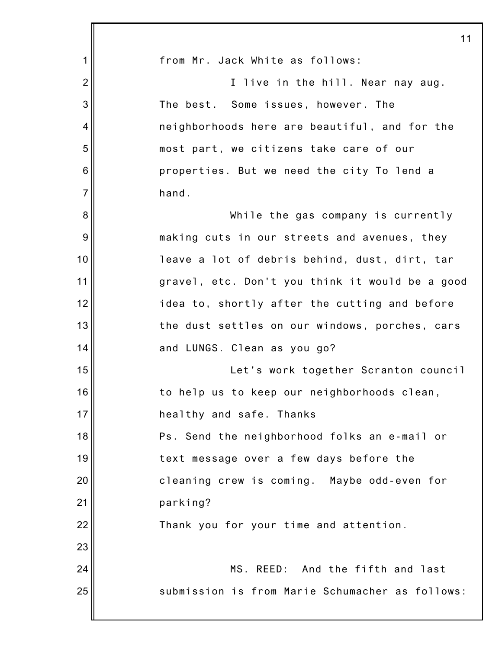|                | 11                                              |
|----------------|-------------------------------------------------|
| 1              | from Mr. Jack White as follows:                 |
| $\overline{2}$ | I live in the hill. Near nay aug.               |
| 3              | The best. Some issues, however. The             |
| 4              | neighborhoods here are beautiful, and for the   |
| 5              | most part, we citizens take care of our         |
| 6              | properties. But we need the city To lend a      |
| $\overline{7}$ | hand.                                           |
| 8              | While the gas company is currently              |
| 9              | making cuts in our streets and avenues, they    |
| 10             | leave a lot of debris behind, dust, dirt, tar   |
| 11             | gravel, etc. Don't you think it would be a good |
| 12             | idea to, shortly after the cutting and before   |
| 13             | the dust settles on our windows, porches, cars  |
| 14             | and LUNGS. Clean as you go?                     |
| 15             | Let's work together Scranton council            |
| 16             | to help us to keep our neighborhoods clean,     |
| 17             | healthy and safe. Thanks                        |
| 18             | Ps. Send the neighborhood folks an e-mail or    |
| 19             | text message over a few days before the         |
| 20             | cleaning crew is coming. Maybe odd-even for     |
| 21             | parking?                                        |
| 22             | Thank you for your time and attention.          |
| 23             |                                                 |
| 24             | MS. REED: And the fifth and last                |
| 25             | submission is from Marie Schumacher as follows: |
|                |                                                 |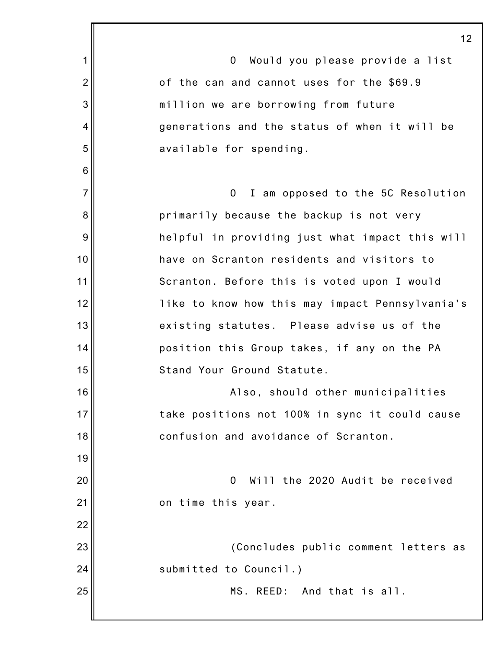1 2 3 4 5 6 7 8 9 10 11 12 13 14 15 16 17 18 19 20 21 22 23 24 25 12 O Would you please provide a list of the can and cannot uses for the \$69.9 million we are borrowing from future generations and the status of when it will be available for spending. O I am opposed to the 5C Resolution primarily because the backup is not very helpful in providing just what impact this will have on Scranton residents and visitors to Scranton. Before this is voted upon I would like to know how this may impact Pennsylvania's existing statutes. Please advise us of the position this Group takes, if any on the PA Stand Your Ground Statute. Also, should other municipalities take positions not 100% in sync it could cause confusion and avoidance of Scranton. O Will the 2020 Audit be received on time this year. (Concludes public comment letters as submitted to Council.) MS. REED: And that is all.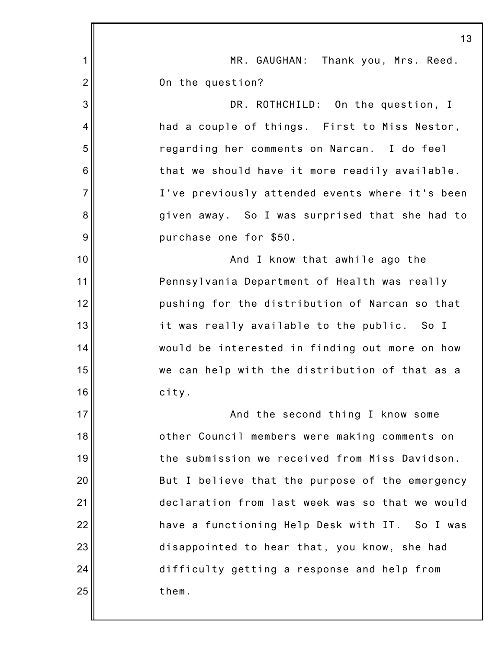|                 | 13                                              |
|-----------------|-------------------------------------------------|
| 1               | MR. GAUGHAN: Thank you, Mrs. Reed.              |
| $\overline{2}$  | On the question?                                |
| 3               | DR. ROTHCHILD: On the question, I               |
| 4               | had a couple of things. First to Miss Nestor,   |
| 5               | regarding her comments on Narcan. I do feel     |
| $6\phantom{1}6$ | that we should have it more readily available.  |
| $\overline{7}$  | I've previously attended events where it's been |
| 8               | given away. So I was surprised that she had to  |
| 9               | purchase one for \$50.                          |
| 10              | And I know that awhile ago the                  |
| 11              | Pennsylvania Department of Health was really    |
| 12              | pushing for the distribution of Narcan so that  |
| 13              | it was really available to the public. So I     |
| 14              | would be interested in finding out more on how  |
| 15              | we can help with the distribution of that as a  |
| 16              | city.                                           |
| 17              | And the second thing I know some                |
| 18              | other Council members were making comments on   |
| 19              | the submission we received from Miss Davidson.  |
| 20              | But I believe that the purpose of the emergency |
| 21              | declaration from last week was so that we would |
| 22              | have a functioning Help Desk with IT. So I was  |
| 23              | disappointed to hear that, you know, she had    |
| 24              | difficulty getting a response and help from     |
| 25              | them.                                           |
|                 |                                                 |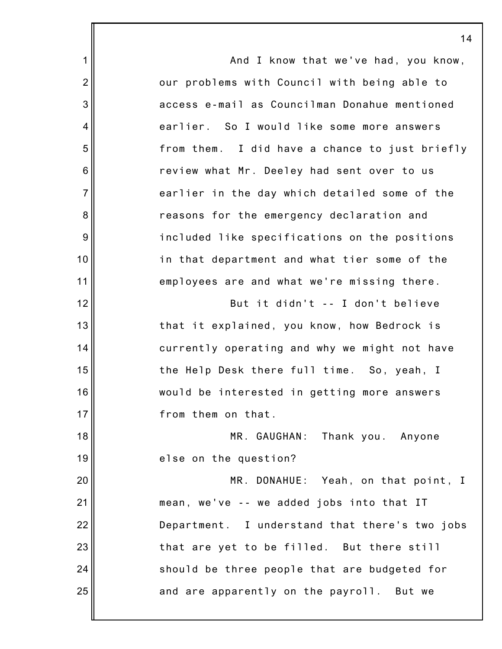1 2 3 4 5 6 7 8 9 10 11 12 13 14 15 16 17 18 19 20 21 22 23 24 25 14 And I know that we've had, you know, our problems with Council with being able to access e-mail as Councilman Donahue mentioned earlier. So I would like some more answers from them. I did have a chance to just briefly review what Mr. Deeley had sent over to us earlier in the day which detailed some of the reasons for the emergency declaration and included like specifications on the positions in that department and what tier some of the employees are and what we're missing there. But it didn't -- I don't believe that it explained, you know, how Bedrock is currently operating and why we might not have the Help Desk there full time. So, yeah, I would be interested in getting more answers from them on that. MR. GAUGHAN: Thank you. Anyone else on the question? MR. DONAHUE: Yeah, on that point, I mean, we've -- we added jobs into that IT Department. I understand that there's two jobs that are yet to be filled. But there still should be three people that are budgeted for and are apparently on the payroll. But we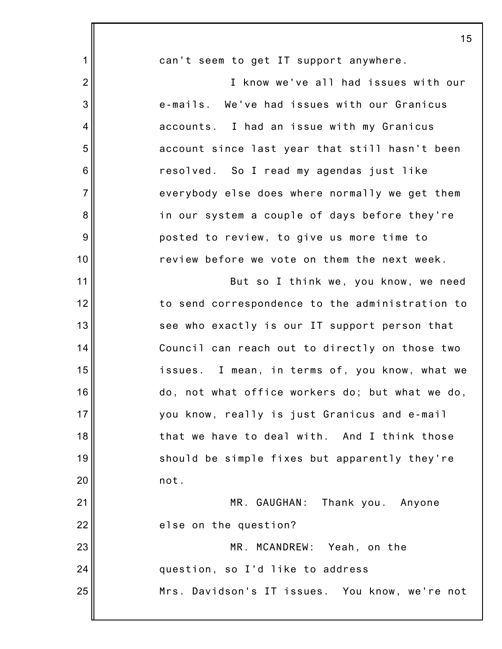|                 | 15                                              |
|-----------------|-------------------------------------------------|
| 1               | can't seem to get IT support anywhere.          |
| $\overline{2}$  | I know we've all had issues with our            |
| 3               | e-mails. We've had issues with our Granicus     |
| 4               | accounts. I had an issue with my Granicus       |
| 5               | account since last year that still hasn't been  |
| $6\phantom{1}6$ | resolved. So I read my agendas just like        |
| $\overline{7}$  | everybody else does where normally we get them  |
| 8               | in our system a couple of days before they're   |
| 9               | posted to review, to give us more time to       |
| 10              | review before we vote on them the next week.    |
| 11              | But so I think we, you know, we need            |
| 12              | to send correspondence to the administration to |
| 13              | see who exactly is our IT support person that   |
| 14              | Council can reach out to directly on those two  |
| 15              | issues. I mean, in terms of, you know, what we  |
| 16              | do, not what office workers do; but what we do, |
| 17              | you know, really is just Granicus and e-mail    |
| 18              | that we have to deal with. And I think those    |
| 19              | should be simple fixes but apparently they're   |
| 20              | not.                                            |
| 21              | MR. GAUGHAN: Thank you. Anyone                  |
| 22              | else on the question?                           |
| 23              | MR. MCANDREW: Yeah, on the                      |
| 24              | question, so I'd like to address                |
| 25              | Mrs. Davidson's IT issues. You know, we're not  |
|                 |                                                 |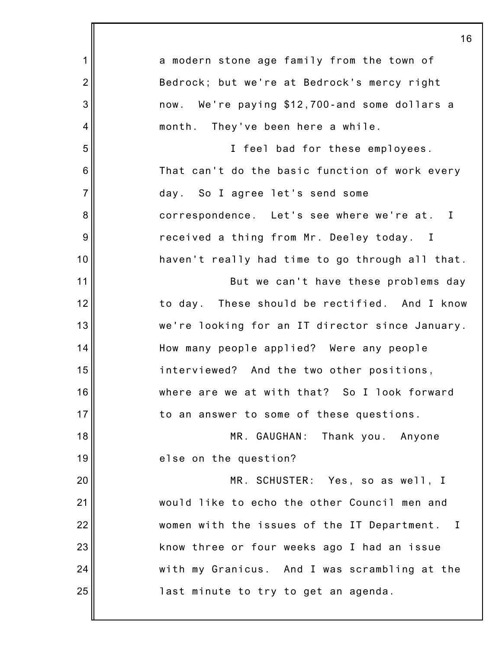|                 | 16                                                          |
|-----------------|-------------------------------------------------------------|
| 1               | a modern stone age family from the town of                  |
| $\overline{2}$  | Bedrock; but we're at Bedrock's mercy right                 |
| 3               | now. We're paying \$12,700-and some dollars a               |
| 4               | month. They've been here a while.                           |
| 5               | I feel bad for these employees.                             |
| $6\phantom{1}6$ | That can't do the basic function of work every              |
| $\overline{7}$  | day. So I agree let's send some                             |
| 8               | correspondence. Let's see where we're at. I                 |
| $\overline{9}$  | received a thing from Mr. Deeley today. I                   |
| 10              | haven't really had time to go through all that.             |
| 11              | But we can't have these problems day                        |
| 12              | to day. These should be rectified. And I know               |
| 13              | we're looking for an IT director since January.             |
| 14              | How many people applied? Were any people                    |
| 15              | interviewed? And the two other positions,                   |
| 16              | where are we at with that? So I look forward                |
| 17              | to an answer to some of these questions.                    |
| 18              | MR. GAUGHAN: Thank you. Anyone                              |
| 19              | else on the question?                                       |
| 20              | MR. SCHUSTER: Yes, so as well, I                            |
| 21              | would like to echo the other Council men and                |
| 22              | women with the issues of the IT Department.<br>$\mathbf{I}$ |
| 23              | know three or four weeks ago I had an issue                 |
| 24              | with my Granicus. And I was scrambling at the               |
| 25              | last minute to try to get an agenda.                        |
|                 |                                                             |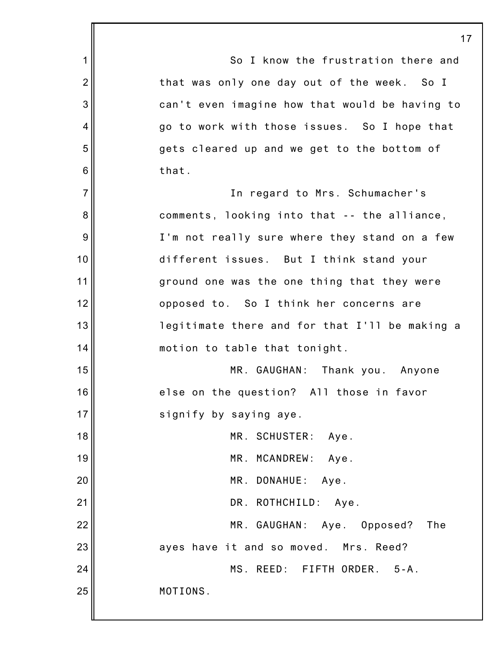1 2 3 4 5 6 7 8 9 10 11 12 13 14 15 16 17 18 19 20 21 22 23 24 25 17 So I know the frustration there and that was only one day out of the week. So I can't even imagine how that would be having to go to work with those issues. So I hope that gets cleared up and we get to the bottom of that. In regard to Mrs. Schumacher's comments, looking into that -- the alliance, I'm not really sure where they stand on a few different issues. But I think stand your ground one was the one thing that they were opposed to. So I think her concerns are legitimate there and for that I'll be making a motion to table that tonight. MR. GAUGHAN: Thank you. Anyone else on the question? All those in favor signify by saying aye. MR. SCHUSTER: Aye. MR. MCANDREW: Aye. MR. DONAHUE: Aye. DR. ROTHCHILD: Aye. MR. GAUGHAN: Aye. Opposed? The ayes have it and so moved. Mrs. Reed? MS. REED: FIFTH ORDER. 5-A. MOTIONS.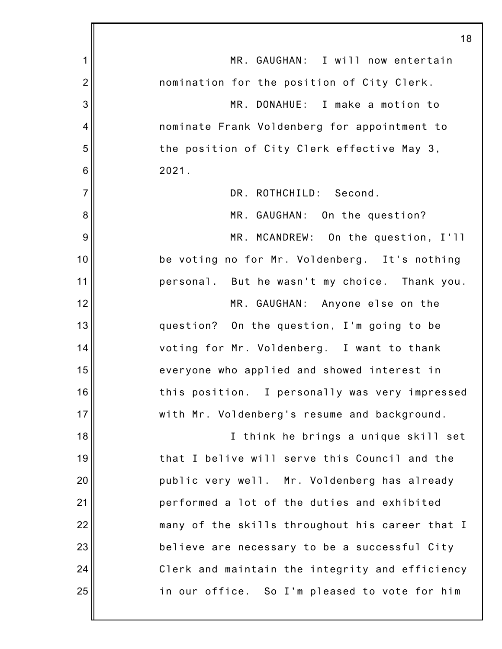|                | 18                                              |
|----------------|-------------------------------------------------|
| 1              | MR. GAUGHAN: I will now entertain               |
| $\overline{2}$ | nomination for the position of City Clerk.      |
| 3              | MR. DONAHUE: I make a motion to                 |
| 4              | nominate Frank Voldenberg for appointment to    |
| 5              | the position of City Clerk effective May 3,     |
| 6              | 2021.                                           |
| $\overline{7}$ | DR. ROTHCHILD: Second.                          |
| 8              | MR. GAUGHAN: On the question?                   |
| 9              | MR. MCANDREW: On the question, I'll             |
| 10             | be voting no for Mr. Voldenberg. It's nothing   |
| 11             | personal. But he wasn't my choice. Thank you.   |
| 12             | MR. GAUGHAN: Anyone else on the                 |
| 13             | question? On the question, I'm going to be      |
| 14             | voting for Mr. Voldenberg. I want to thank      |
| 15             | everyone who applied and showed interest in     |
| 16             | this position. I personally was very impressed  |
| 17             | with Mr. Voldenberg's resume and background.    |
| 18             | I think he brings a unique skill set            |
| 19             | that I belive will serve this Council and the   |
| 20             | public very well. Mr. Voldenberg has already    |
| 21             | performed a lot of the duties and exhibited     |
| 22             | many of the skills throughout his career that I |
| 23             | believe are necessary to be a successful City   |
| 24             | Clerk and maintain the integrity and efficiency |
| 25             | in our office. So I'm pleased to vote for him   |
|                |                                                 |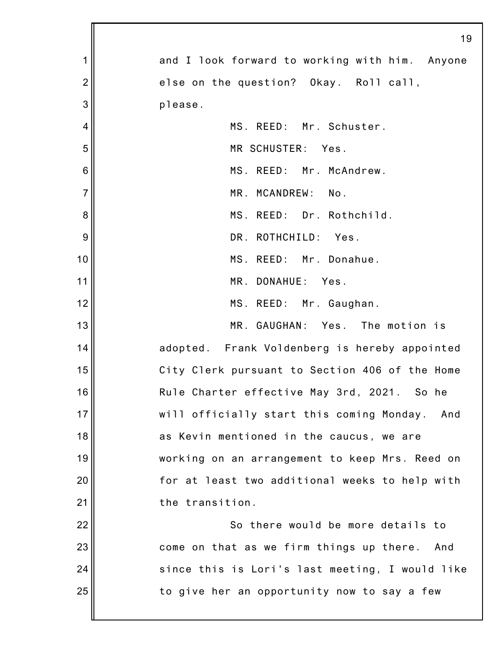|                 | 19                                               |
|-----------------|--------------------------------------------------|
| 1               | and I look forward to working with him. Anyone   |
| $\overline{2}$  | else on the question? Okay. Roll call,           |
| 3               | please.                                          |
| 4               | MS. REED: Mr. Schuster.                          |
| 5               | MR SCHUSTER:<br>Yes.                             |
| $6\phantom{1}6$ | MS. REED: Mr. McAndrew.                          |
| $\overline{7}$  | MR. MCANDREW:<br>No.                             |
| 8               | MS. REED: Dr. Rothchild.                         |
| 9               | DR. ROTHCHILD:<br>Yes.                           |
| 10              | MS. REED: Mr. Donahue.                           |
| 11              | MR. DONAHUE: Yes.                                |
| 12              | MS. REED: Mr. Gaughan.                           |
| 13              | MR. GAUGHAN: Yes. The motion is                  |
| 14              | adopted. Frank Voldenberg is hereby appointed    |
| 15              | City Clerk pursuant to Section 406 of the Home   |
| 16              | Rule Charter effective May 3rd, 2021. So he      |
| 17              | will officially start this coming Monday.<br>And |
| 18              | as Kevin mentioned in the caucus, we are         |
| 19              | working on an arrangement to keep Mrs. Reed on   |
| 20              | for at least two additional weeks to help with   |
| 21              | the transition.                                  |
| 22              | So there would be more details to                |
| 23              | come on that as we firm things up there.<br>And  |
| 24              | since this is Lori's last meeting, I would like  |
| 25              | to give her an opportunity now to say a few      |
|                 |                                                  |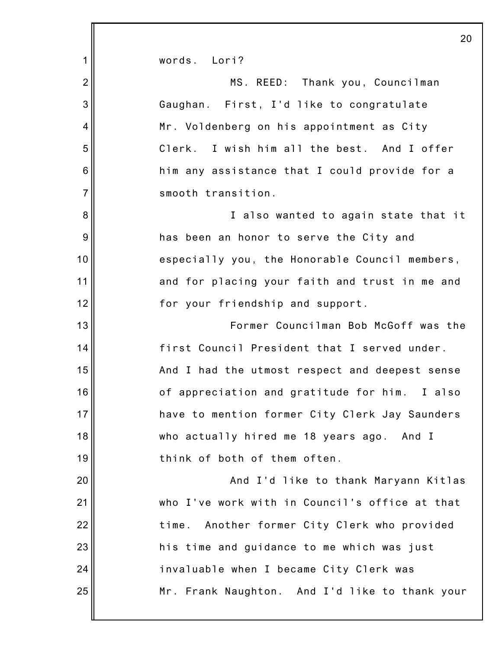|                 | 20                                              |
|-----------------|-------------------------------------------------|
| 1               | words. Lori?                                    |
| $\overline{2}$  | MS. REED: Thank you, Councilman                 |
| 3               | Gaughan. First, I'd like to congratulate        |
| $\overline{4}$  | Mr. Voldenberg on his appointment as City       |
| 5               | Clerk. I wish him all the best. And I offer     |
| $6\phantom{1}6$ | him any assistance that I could provide for a   |
| $\overline{7}$  | smooth transition.                              |
| 8               | I also wanted to again state that it            |
| 9               | has been an honor to serve the City and         |
| 10              | especially you, the Honorable Council members,  |
| 11              | and for placing your faith and trust in me and  |
| 12              | for your friendship and support.                |
| 13              | Former Councilman Bob McGoff was the            |
| 14              | first Council President that I served under.    |
| 15              | And I had the utmost respect and deepest sense  |
| 16              | of appreciation and gratitude for him. I also   |
| 17              | have to mention former City Clerk Jay Saunders  |
| 18              | who actually hired me 18 years ago. And I       |
| 19              | think of both of them often.                    |
| 20              | And I'd like to thank Maryann Kitlas            |
| 21              | who I've work with in Council's office at that  |
| 22              | Another former City Clerk who provided<br>time. |
| 23              | his time and guidance to me which was just      |
| 24              | invaluable when I became City Clerk was         |
| 25              | Mr. Frank Naughton. And I'd like to thank your  |
|                 |                                                 |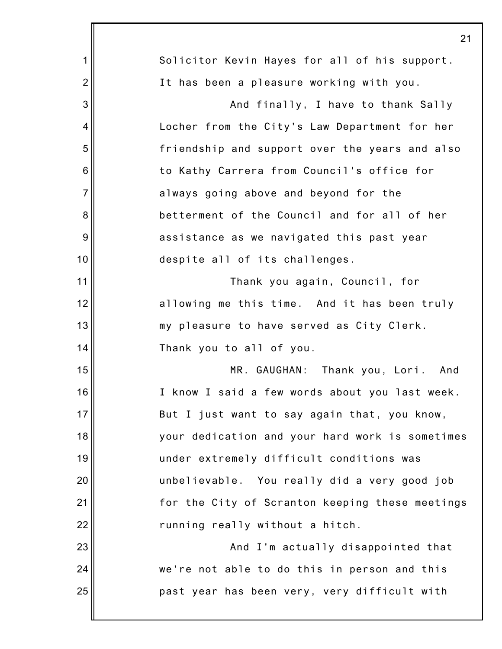|                | 21                                              |
|----------------|-------------------------------------------------|
| 1              | Solicitor Kevin Hayes for all of his support.   |
| $\overline{2}$ | It has been a pleasure working with you.        |
| 3              | And finally, I have to thank Sally              |
| 4              | Locher from the City's Law Department for her   |
| 5              | friendship and support over the years and also  |
| 6              | to Kathy Carrera from Council's office for      |
| $\overline{7}$ | always going above and beyond for the           |
| 8              | betterment of the Council and for all of her    |
| 9              | assistance as we navigated this past year       |
| 10             | despite all of its challenges.                  |
| 11             | Thank you again, Council, for                   |
| 12             | allowing me this time. And it has been truly    |
| 13             | my pleasure to have served as City Clerk.       |
| 14             | Thank you to all of you.                        |
| 15             | MR. GAUGHAN: Thank you, Lori. And               |
| 16             | I know I said a few words about you last week.  |
| 17             | But I just want to say again that, you know,    |
| 18             | your dedication and your hard work is sometimes |
| 19             | under extremely difficult conditions was        |
| 20             | unbelievable. You really did a very good job    |
| 21             | for the City of Scranton keeping these meetings |
| 22             | running really without a hitch.                 |
| 23             | And I'm actually disappointed that              |
| 24             | we're not able to do this in person and this    |
| 25             | past year has been very, very difficult with    |
|                |                                                 |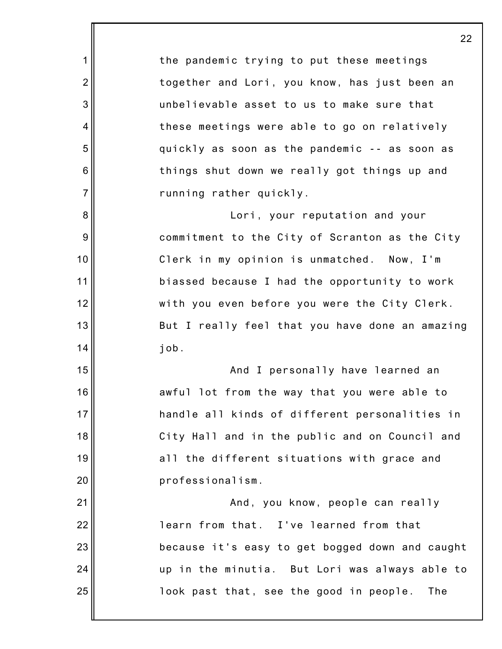1 2 3 4 5 6 7 8 9 10 11 12 13 14 15 16 17 18 19 20 21 22 23 24 25 the pandemic trying to put these meetings together and Lori, you know, has just been an unbelievable asset to us to make sure that these meetings were able to go on relatively quickly as soon as the pandemic -- as soon as things shut down we really got things up and running rather quickly. Lori, your reputation and your commitment to the City of Scranton as the City Clerk in my opinion is unmatched. Now, I'm biassed because I had the opportunity to work with you even before you were the City Clerk. But I really feel that you have done an amazing job. And I personally have learned an awful lot from the way that you were able to handle all kinds of different personalities in City Hall and in the public and on Council and all the different situations with grace and professionalism. And, you know, people can really learn from that. I've learned from that because it's easy to get bogged down and caught up in the minutia. But Lori was always able to look past that, see the good in people. The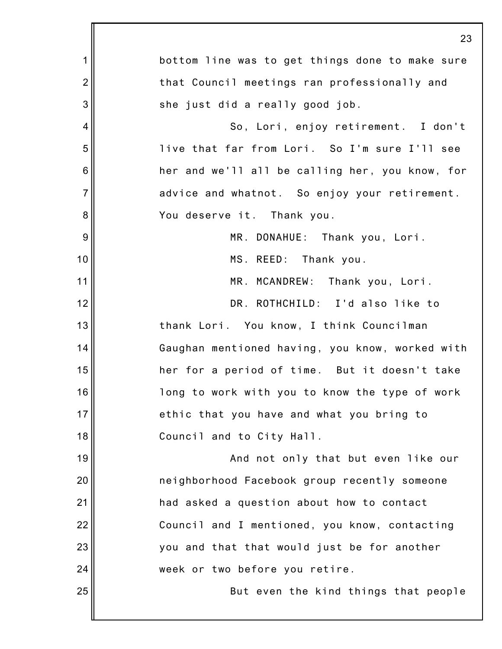|                 | 23                                              |
|-----------------|-------------------------------------------------|
| 1               | bottom line was to get things done to make sure |
| $\overline{2}$  | that Council meetings ran professionally and    |
| 3               | she just did a really good job.                 |
| 4               | So, Lori, enjoy retirement. I don't             |
| 5               | live that far from Lori. So I'm sure I'll see   |
| $6\phantom{1}6$ | her and we'll all be calling her, you know, for |
| $\overline{7}$  | advice and whatnot. So enjoy your retirement.   |
| 8               | You deserve it. Thank you.                      |
| 9               | MR. DONAHUE: Thank you, Lori.                   |
| 10              | MS. REED: Thank you.                            |
| 11              | MR. MCANDREW: Thank you, Lori.                  |
| 12              | DR. ROTHCHILD: I'd also like to                 |
| 13              | thank Lori. You know, I think Councilman        |
| 14              | Gaughan mentioned having, you know, worked with |
| 15              | her for a period of time. But it doesn't take   |
| 16              | long to work with you to know the type of work  |
| 17              | ethic that you have and what you bring to       |
| 18              | Council and to City Hall.                       |
| 19              | And not only that but even like our             |
| 20              | neighborhood Facebook group recently someone    |
| 21              | had asked a question about how to contact       |
| 22              | Council and I mentioned, you know, contacting   |
| 23              | you and that that would just be for another     |
| 24              | week or two before you retire.                  |
| 25              | But even the kind things that people            |
|                 |                                                 |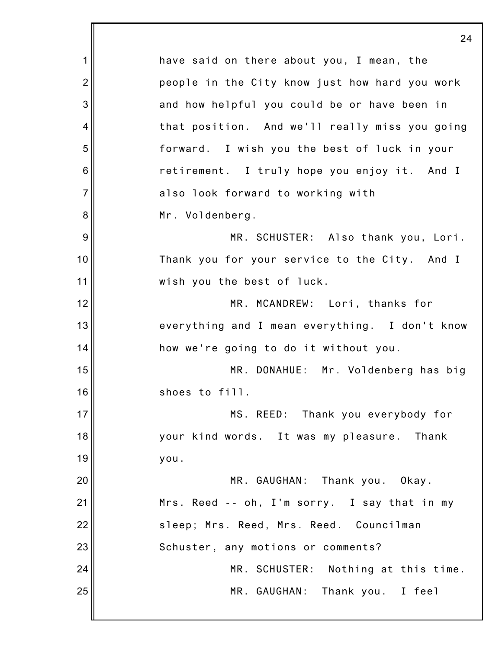1 2 3 4 5 6 7 8 9 10 11 12 13 14 15 16 17 18 19 20 21 22 23 24 25 24 have said on there about you, I mean, the people in the City know just how hard you work and how helpful you could be or have been in that position. And we'll really miss you going forward. I wish you the best of luck in your retirement. I truly hope you enjoy it. And I also look forward to working with Mr. Voldenberg. MR. SCHUSTER: Also thank you, Lori. Thank you for your service to the City. And I wish you the best of luck. MR. MCANDREW: Lori, thanks for everything and I mean everything. I don't know how we're going to do it without you. MR. DONAHUE: Mr. Voldenberg has big shoes to fill. MS. REED: Thank you everybody for your kind words. It was my pleasure. Thank you. MR. GAUGHAN: Thank you. Okay. Mrs. Reed -- oh, I'm sorry. I say that in my sleep; Mrs. Reed, Mrs. Reed. Councilman Schuster, any motions or comments? MR. SCHUSTER: Nothing at this time. MR. GAUGHAN: Thank you. I feel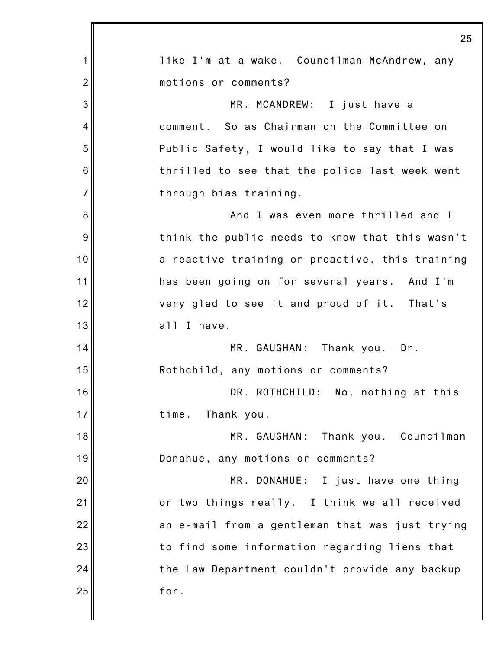|                 | 25                                              |
|-----------------|-------------------------------------------------|
| 1               | like I'm at a wake. Councilman McAndrew, any    |
| $\overline{2}$  | motions or comments?                            |
| 3               | MR. MCANDREW: I just have a                     |
| 4               | comment. So as Chairman on the Committee on     |
| 5               | Public Safety, I would like to say that I was   |
| $6\phantom{1}6$ | thrilled to see that the police last week went  |
| $\overline{7}$  | through bias training.                          |
| 8               | And I was even more thrilled and I              |
| 9               | think the public needs to know that this wasn't |
| 10              | a reactive training or proactive, this training |
| 11              | has been going on for several years. And I'm    |
| 12              | very glad to see it and proud of it. That's     |
| 13              | all I have.                                     |
| 14              | MR. GAUGHAN: Thank you. Dr.                     |
| 15              | Rothchild, any motions or comments?             |
| 16              | DR. ROTHCHILD: No, nothing at this              |
| 17              | time.<br>Thank you.                             |
| 18              | MR. GAUGHAN:<br>Thank you. Councilman           |
| 19              | Donahue, any motions or comments?               |
| 20              | MR. DONAHUE: I just have one thing              |
| 21              | or two things really. I think we all received   |
| 22              | an e-mail from a gentleman that was just trying |
| 23              | to find some information regarding liens that   |
| 24              | the Law Department couldn't provide any backup  |
| 25              | for.                                            |
|                 |                                                 |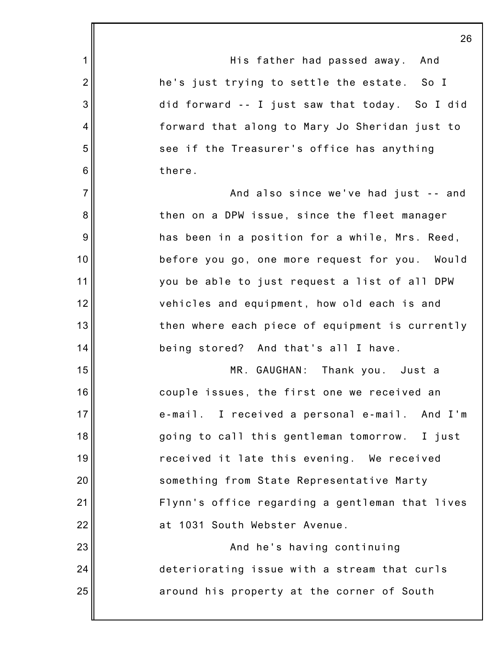|                 | 26                                              |
|-----------------|-------------------------------------------------|
| 1               | His father had passed away.<br>And              |
| $\overline{2}$  | he's just trying to settle the estate. So I     |
| 3               | did forward -- I just saw that today. So I did  |
| 4               | forward that along to Mary Jo Sheridan just to  |
| 5               | see if the Treasurer's office has anything      |
| $6\phantom{1}6$ | there.                                          |
| $\overline{7}$  | And also since we've had just -- and            |
| 8               | then on a DPW issue, since the fleet manager    |
| 9               | has been in a position for a while, Mrs. Reed,  |
| 10              | before you go, one more request for you. Would  |
| 11              | you be able to just request a list of all DPW   |
| 12              | vehicles and equipment, how old each is and     |
| 13              | then where each piece of equipment is currently |
| 14              | being stored? And that's all I have.            |
| 15              | MR. GAUGHAN: Thank you. Just a                  |
| 16              | couple issues, the first one we received an     |
| 17              | e-mail. I received a personal e-mail. And I'm   |
| 18              | going to call this gentleman tomorrow. I just   |
| 19              | received it late this evening. We received      |
| 20              | something from State Representative Marty       |
| 21              | Flynn's office regarding a gentleman that lives |
| 22              | at 1031 South Webster Avenue.                   |
| 23              | And he's having continuing                      |
| 24              | deteriorating issue with a stream that curls    |
| 25              | around his property at the corner of South      |
|                 |                                                 |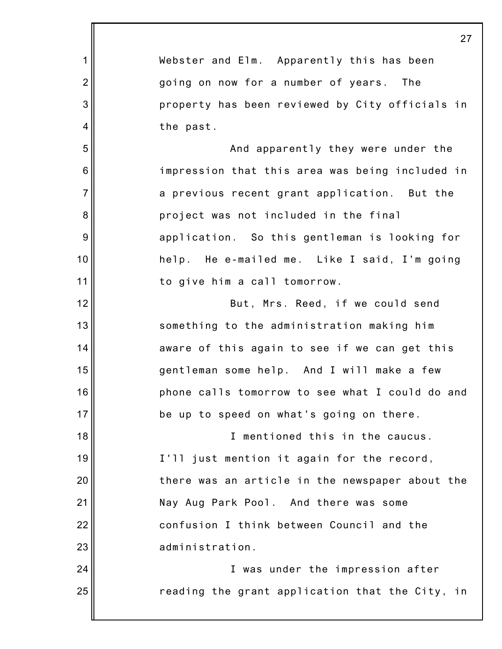|                 | 27                                              |
|-----------------|-------------------------------------------------|
| 1               | Webster and Elm. Apparently this has been       |
| $\overline{2}$  | going on now for a number of years. The         |
| 3               | property has been reviewed by City officials in |
| 4               | the past.                                       |
| 5               | And apparently they were under the              |
| $6\phantom{1}6$ | impression that this area was being included in |
| $\overline{7}$  | a previous recent grant application. But the    |
| 8               | project was not included in the final           |
| 9               | application. So this gentleman is looking for   |
| 10              | help. He e-mailed me. Like I said, I'm going    |
| 11              | to give him a call tomorrow.                    |
| 12              | But, Mrs. Reed, if we could send                |
| 13              | something to the administration making him      |
| 14              | aware of this again to see if we can get this   |
| 15              | gentleman some help. And I will make a few      |
| 16              | phone calls tomorrow to see what I could do and |
| 17              | be up to speed on what's going on there.        |
| 18              | I mentioned this in the caucus.                 |
| 19              | I'll just mention it again for the record,      |
| 20              | there was an article in the newspaper about the |
| 21              | Nay Aug Park Pool. And there was some           |
| 22              | confusion I think between Council and the       |
| 23              | administration.                                 |
| 24              | I was under the impression after                |
| 25              | reading the grant application that the City, in |
|                 |                                                 |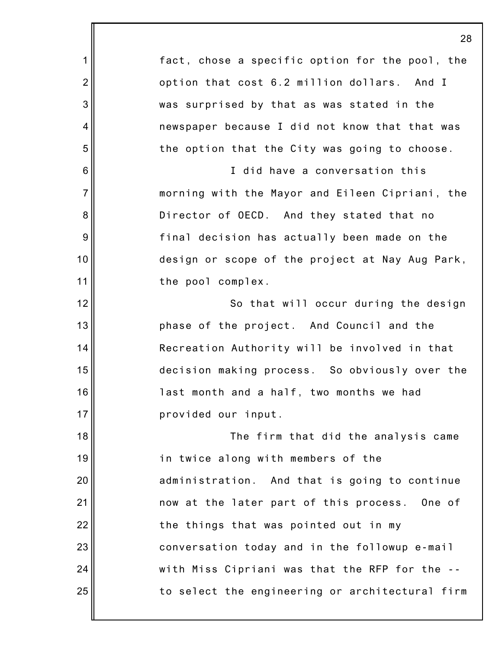1 2 3 4 5 6 7 8 9 10 11 12 13 14 15 16 17 18 19 20 21 22 23 24 25 fact, chose a specific option for the pool, the option that cost 6.2 million dollars. And I was surprised by that as was stated in the newspaper because I did not know that that was the option that the City was going to choose. I did have a conversation this morning with the Mayor and Eileen Cipriani, the Director of OECD. And they stated that no final decision has actually been made on the design or scope of the project at Nay Aug Park, the pool complex. So that will occur during the design phase of the project. And Council and the Recreation Authority will be involved in that decision making process. So obviously over the last month and a half, two months we had provided our input. The firm that did the analysis came in twice along with members of the administration. And that is going to continue now at the later part of this process. One of the things that was pointed out in my conversation today and in the followup e-mail with Miss Cipriani was that the RFP for the - to select the engineering or architectural firm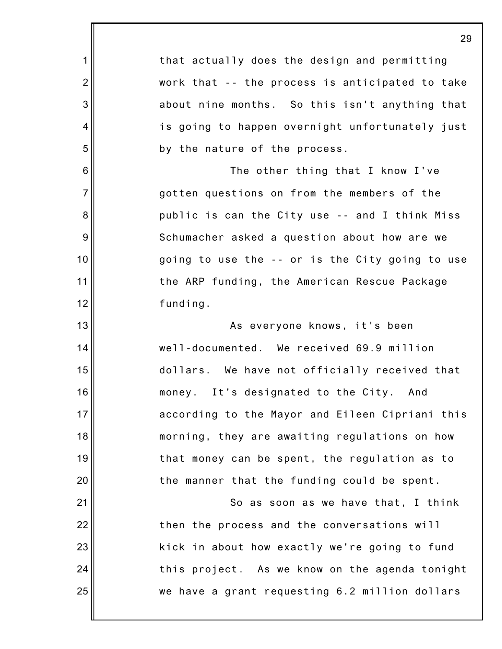|                 | 29                                              |
|-----------------|-------------------------------------------------|
| 1               | that actually does the design and permitting    |
| $\overline{2}$  | work that -- the process is anticipated to take |
| 3               | about nine months. So this isn't anything that  |
| $\overline{4}$  | is going to happen overnight unfortunately just |
| 5               | by the nature of the process.                   |
| $6\phantom{1}6$ | The other thing that I know I've                |
| $\overline{7}$  | gotten questions on from the members of the     |
| 8               | public is can the City use -- and I think Miss  |
| 9               | Schumacher asked a question about how are we    |
| 10              | going to use the -- or is the City going to use |
| 11              | the ARP funding, the American Rescue Package    |
| 12              | funding.                                        |
| 13              | As everyone knows, it's been                    |
| 14              | well-documented. We received 69.9 million       |
| 15              | dollars. We have not officially received that   |
| 16              | It's designated to the City. And<br>money.      |
| 17              | according to the Mayor and Eileen Cipriani this |
| 18              | morning, they are awaiting regulations on how   |
| 19              | that money can be spent, the regulation as to   |
| 20              | the manner that the funding could be spent.     |
| 21              | So as soon as we have that, I think             |
| 22              | then the process and the conversations will     |
| 23              | kick in about how exactly we're going to fund   |
| 24              | this project. As we know on the agenda tonight  |
| 25              | we have a grant requesting 6.2 million dollars  |
|                 |                                                 |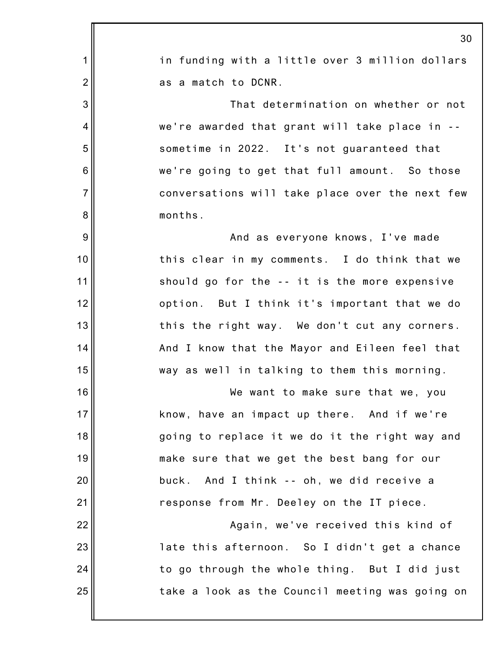|                 | 3 <sub>0</sub>                                  |
|-----------------|-------------------------------------------------|
| 1               | in funding with a little over 3 million dollars |
| $\overline{2}$  | as a match to DCNR.                             |
| 3               | That determination on whether or not            |
| $\overline{4}$  | we're awarded that grant will take place in --  |
| 5               | sometime in 2022. It's not guaranteed that      |
| $6\phantom{1}6$ | we're going to get that full amount. So those   |
| $\overline{7}$  | conversations will take place over the next few |
| 8               | months.                                         |
| 9               | And as everyone knows, I've made                |
| 10              | this clear in my comments. I do think that we   |
| 11              | should go for the -- it is the more expensive   |
| 12              | option. But I think it's important that we do   |
| 13              | this the right way. We don't cut any corners.   |
| 14              | And I know that the Mayor and Eileen feel that  |
| 15              | way as well in talking to them this morning.    |
| 16              | We want to make sure that we, you               |
| 17              | know, have an impact up there. And if we're     |
| 18              | going to replace it we do it the right way and  |
| 19              | make sure that we get the best bang for our     |
| 20              | buck. And I think -- oh, we did receive a       |
| 21              | response from Mr. Deeley on the IT piece.       |
| 22              | Again, we've received this kind of              |
| 23              | late this afternoon. So I didn't get a chance   |
| 24              | to go through the whole thing. But I did just   |
| 25              | take a look as the Council meeting was going on |
|                 |                                                 |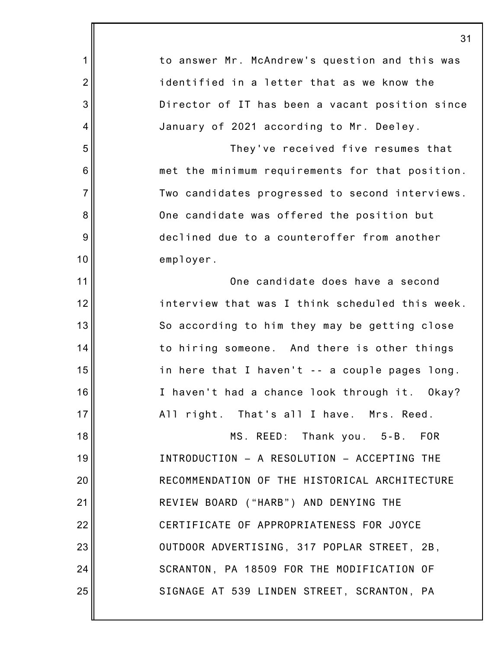|                 | 31                                              |
|-----------------|-------------------------------------------------|
| 1               | to answer Mr. McAndrew's question and this was  |
| $\overline{2}$  | identified in a letter that as we know the      |
| 3               | Director of IT has been a vacant position since |
| 4               | January of 2021 according to Mr. Deeley.        |
| 5               | They've received five resumes that              |
| $6\phantom{1}6$ | met the minimum requirements for that position. |
| $\overline{7}$  | Two candidates progressed to second interviews. |
| 8               | One candidate was offered the position but      |
| 9               | declined due to a counteroffer from another     |
| 10              | employer.                                       |
| 11              | One candidate does have a second                |
| 12              | interview that was I think scheduled this week. |
| 13              | So according to him they may be getting close   |
| 14              | to hiring someone. And there is other things    |
| 15              | in here that I haven't -- a couple pages long.  |
| 16              | I haven't had a chance look through it. Okay?   |
| 17              | All right. That's all I have. Mrs. Reed.        |
| 18              | MS. REED: Thank you. 5-B. FOR                   |
| 19              | INTRODUCTION - A RESOLUTION - ACCEPTING THE     |
| 20              | RECOMMENDATION OF THE HISTORICAL ARCHITECTURE   |
| 21              | REVIEW BOARD ("HARB") AND DENYING THE           |
| 22              | CERTIFICATE OF APPROPRIATENESS FOR JOYCE        |
| 23              | OUTDOOR ADVERTISING, 317 POPLAR STREET, 2B,     |
| 24              | SCRANTON, PA 18509 FOR THE MODIFICATION OF      |
| 25              | SIGNAGE AT 539 LINDEN STREET, SCRANTON, PA      |
|                 |                                                 |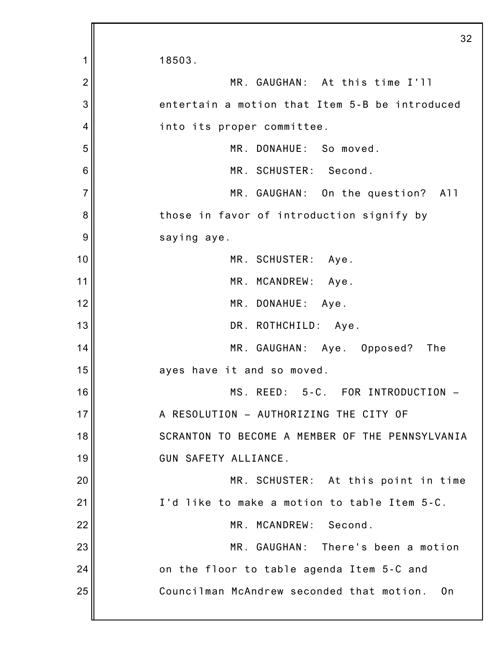1 2 3 4 5 6 7 8 9 10 11 12 13 14 15 16 17 18 19 20 21 22 23 24 25 32 18503. MR. GAUGHAN: At this time I'll entertain a motion that Item 5-B be introduced into its proper committee. MR. DONAHUE: So moved. MR. SCHUSTER: Second. MR. GAUGHAN: On the question? All those in favor of introduction signify by saying aye. MR. SCHUSTER: Aye. MR. MCANDREW: Aye. MR. DONAHUE: Aye. DR. ROTHCHILD: Aye. MR. GAUGHAN: Aye. Opposed? The ayes have it and so moved. MS. REED: 5-C. FOR INTRODUCTION – A RESOLUTION – AUTHORIZING THE CITY OF SCRANTON TO BECOME A MEMBER OF THE PENNSYLVANIA GUN SAFETY ALLIANCE. MR. SCHUSTER: At this point in time I'd like to make a motion to table Item 5-C. MR. MCANDREW: Second. MR. GAUGHAN: There's been a motion on the floor to table agenda Item 5-C and Councilman McAndrew seconded that motion. On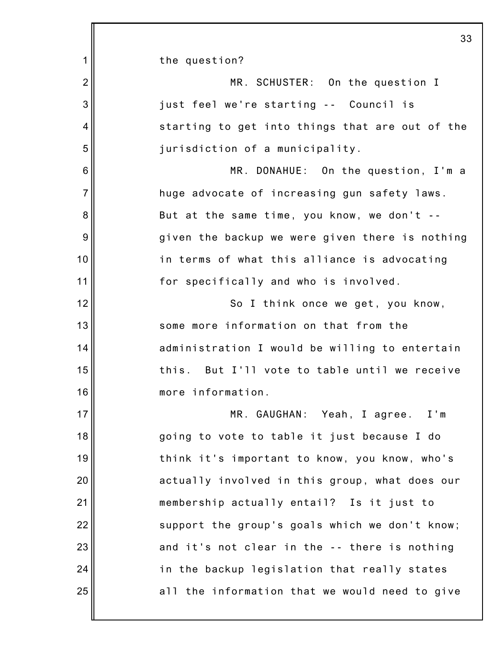1 2 3 4 5 6 7 8 9 10 11 12 13 14 15 16 17 18 19 20 21 22 23 24 25 33 the question? MR. SCHUSTER: On the question I just feel we're starting -- Council is starting to get into things that are out of the jurisdiction of a municipality. MR. DONAHUE: On the question, I'm a huge advocate of increasing gun safety laws. But at the same time, you know, we don't - given the backup we were given there is nothing in terms of what this alliance is advocating for specifically and who is involved. So I think once we get, you know, some more information on that from the administration I would be willing to entertain this. But I'll vote to table until we receive more information. MR. GAUGHAN: Yeah, I agree. I'm going to vote to table it just because I do think it's important to know, you know, who's actually involved in this group, what does our membership actually entail? Is it just to support the group's goals which we don't know; and it's not clear in the -- there is nothing in the backup legislation that really states all the information that we would need to give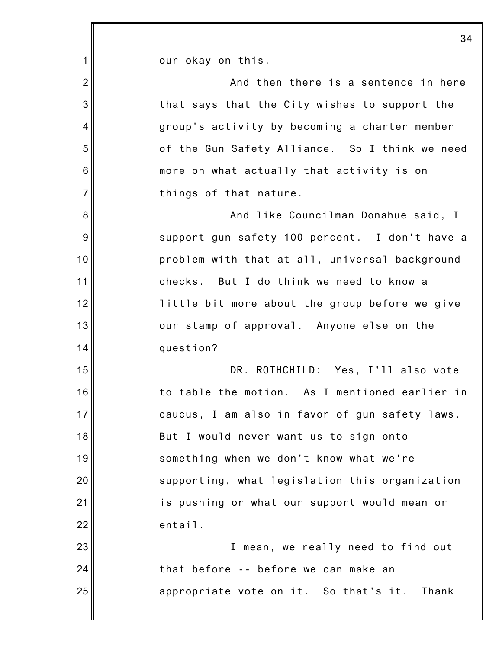| 1 <sup>1</sup> | our okay on this.                              |
|----------------|------------------------------------------------|
| $\overline{2}$ | And then there is a sentence in here           |
| 3              | that says that the City wishes to support the  |
| $\overline{4}$ | group's activity by becoming a charter member  |
| 5              | of the Gun Safety Alliance. So I think we need |
| $\,6$          | more on what actually that activity is on      |
| $\overline{7}$ | things of that nature.                         |
| 8              | And like Councilman Donahue said, I            |
| 9              | support gun safety 100 percent. I don't have a |
| 10             | problem with that at all, universal background |
| 11             | checks. But I do think we need to know a       |
| 12             | little bit more about the group before we give |
| 13             | our stamp of approval. Anyone else on the      |
| 14             | question?                                      |
| 15             | DR. ROTHCHILD: Yes, I'll also vote             |
| 16             | to table the motion. As I mentioned earlier in |
| 17             | caucus, I am also in favor of gun safety laws. |
| 18             | But I would never want us to sign onto         |
| 19             | something when we don't know what we're        |
| 20             | supporting, what legislation this organization |
| 21             | is pushing or what our support would mean or   |
| 22             | entail.                                        |
| 23             | I mean, we really need to find out             |
| 24             | that before -- before we can make an           |
| 25             | appropriate vote on it. So that's it. Thank    |
|                |                                                |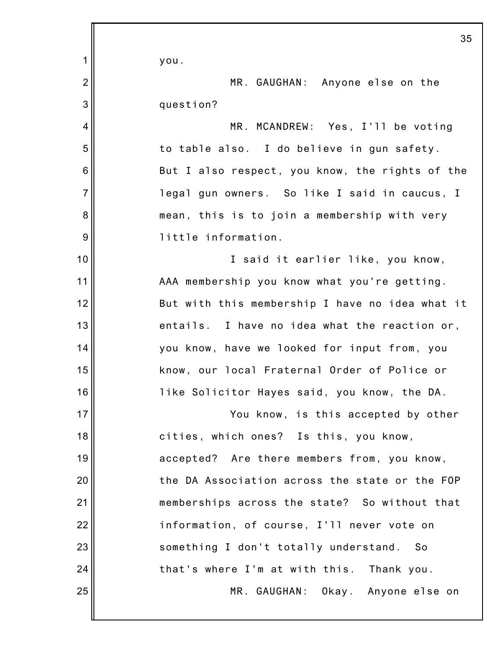|                 | 35                                              |
|-----------------|-------------------------------------------------|
| 1               | you.                                            |
| $\overline{2}$  | MR. GAUGHAN: Anyone else on the                 |
| 3               | question?                                       |
| $\overline{4}$  | MR. MCANDREW: Yes, I'll be voting               |
| 5               | to table also. I do believe in gun safety.      |
| $6\phantom{1}6$ | But I also respect, you know, the rights of the |
| $\overline{7}$  | legal gun owners. So like I said in caucus, I   |
| 8               | mean, this is to join a membership with very    |
| 9               | little information.                             |
| 10              | I said it earlier like, you know,               |
| 11              | AAA membership you know what you're getting.    |
| 12              | But with this membership I have no idea what it |
| 13              | entails. I have no idea what the reaction or,   |
| 14              | you know, have we looked for input from, you    |
| 15              | know, our local Fraternal Order of Police or    |
| 16              | like Solicitor Hayes said, you know, the DA.    |
| 17              | You know, is this accepted by other             |
| 18              | cities, which ones? Is this, you know,          |
| 19              | accepted? Are there members from, you know,     |
| 20              | the DA Association across the state or the FOP  |
| 21              | memberships across the state? So without that   |
| 22              | information, of course, I'll never vote on      |
| 23              | something I don't totally understand. So        |
| 24              | that's where I'm at with this. Thank you.       |
| 25              | MR. GAUGHAN: Okay. Anyone else on               |
|                 |                                                 |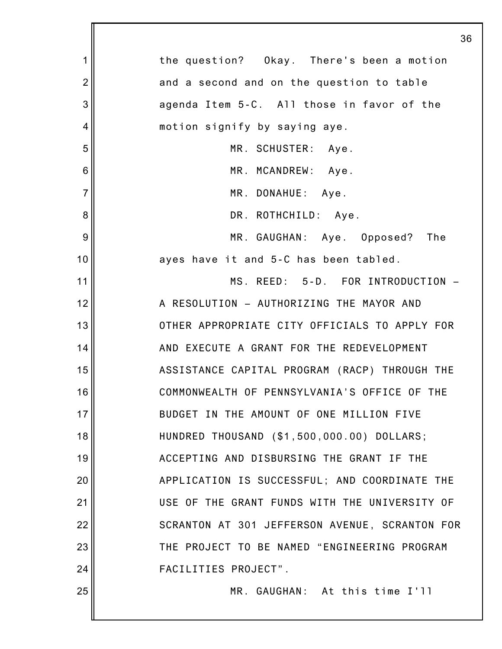|                | 36                                             |
|----------------|------------------------------------------------|
| 1              | the question? Okay. There's been a motion      |
| $\overline{2}$ | and a second and on the question to table      |
| 3              | agenda Item 5-C. All those in favor of the     |
| 4              | motion signify by saying aye.                  |
| 5              | MR. SCHUSTER: Aye.                             |
| 6              | MR. MCANDREW: Aye.                             |
| $\overline{7}$ | MR. DONAHUE: Aye.                              |
| 8              | DR. ROTHCHILD: Aye.                            |
| 9              | MR. GAUGHAN: Aye. Opposed?<br>The              |
| 10             | ayes have it and 5-C has been tabled.          |
| 11             | MS. REED: 5-D. FOR INTRODUCTION -              |
| 12             | A RESOLUTION - AUTHORIZING THE MAYOR AND       |
| 13             | OTHER APPROPRIATE CITY OFFICIALS TO APPLY FOR  |
| 14             | AND EXECUTE A GRANT FOR THE REDEVELOPMENT      |
| 15             | ASSISTANCE CAPITAL PROGRAM (RACP) THROUGH THE  |
| 16             | COMMONWEALTH OF PENNSYLVANIA'S OFFICE OF THE   |
| 17             | BUDGET IN THE AMOUNT OF ONE MILLION FIVE       |
| 18             | HUNDRED THOUSAND (\$1,500,000.00) DOLLARS;     |
| 19             | ACCEPTING AND DISBURSING THE GRANT IF THE      |
| 20             | APPLICATION IS SUCCESSFUL; AND COORDINATE THE  |
| 21             | USE OF THE GRANT FUNDS WITH THE UNIVERSITY OF  |
| 22             | SCRANTON AT 301 JEFFERSON AVENUE, SCRANTON FOR |
| 23             | THE PROJECT TO BE NAMED "ENGINEERING PROGRAM   |
| 24             | FACILITIES PROJECT".                           |
| 25             | MR. GAUGHAN: At this time I'll                 |
|                |                                                |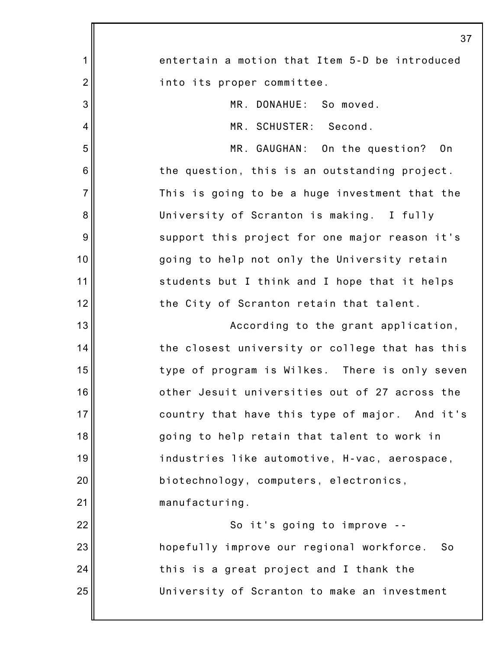|                | 37                                              |
|----------------|-------------------------------------------------|
| 1              | entertain a motion that Item 5-D be introduced  |
| $\overline{2}$ | into its proper committee.                      |
| 3              | MR. DONAHUE: So moved.                          |
| 4              | MR. SCHUSTER: Second.                           |
| 5              | MR. GAUGHAN: On the question?<br>0n             |
| 6              | the question, this is an outstanding project.   |
| $\overline{7}$ | This is going to be a huge investment that the  |
| 8              | University of Scranton is making. I fully       |
| 9              | support this project for one major reason it's  |
| 10             | going to help not only the University retain    |
| 11             | students but I think and I hope that it helps   |
| 12             | the City of Scranton retain that talent.        |
| 13             | According to the grant application,             |
| 14             | the closest university or college that has this |
| 15             | type of program is Wilkes. There is only seven  |
| 16             | other Jesuit universities out of 27 across the  |
| 17             | country that have this type of major. And it's  |
| 18             | going to help retain that talent to work in     |
| 19             | industries like automotive, H-vac, aerospace,   |
| 20             | biotechnology, computers, electronics,          |
| 21             | manufacturing.                                  |
| 22             | So it's going to improve --                     |
| 23             | hopefully improve our regional workforce.<br>So |
| 24             | this is a great project and I thank the         |
| 25             | University of Scranton to make an investment    |
|                |                                                 |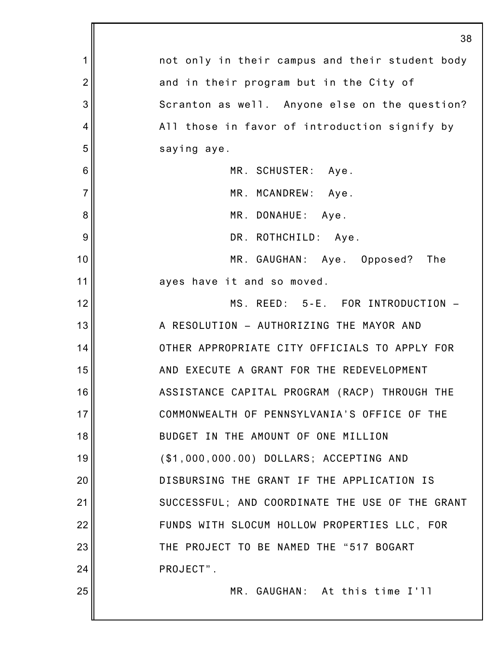|                | 38                                              |
|----------------|-------------------------------------------------|
| 1              | not only in their campus and their student body |
| $\overline{2}$ | and in their program but in the City of         |
| 3              | Scranton as well. Anyone else on the question?  |
| 4              | All those in favor of introduction signify by   |
| 5              | saying aye.                                     |
| 6              | MR. SCHUSTER: Aye.                              |
| $\overline{7}$ | MR. MCANDREW: Aye.                              |
| 8              | MR. DONAHUE: Aye.                               |
| 9              | DR. ROTHCHILD: Aye.                             |
| 10             | MR. GAUGHAN: Aye. Opposed? The                  |
| 11             | ayes have it and so moved.                      |
| 12             | MS. REED: 5-E. FOR INTRODUCTION -               |
| 13             | A RESOLUTION - AUTHORIZING THE MAYOR AND        |
| 14             | OTHER APPROPRIATE CITY OFFICIALS TO APPLY FOR   |
| 15             | AND EXECUTE A GRANT FOR THE REDEVELOPMENT       |
| 16             | ASSISTANCE CAPITAL PROGRAM (RACP) THROUGH THE   |
| 17             | COMMONWEALTH OF PENNSYLVANIA'S OFFICE OF THE    |
| 18             | BUDGET IN THE AMOUNT OF ONE MILLION             |
| 19             | (\$1,000,000.00) DOLLARS; ACCEPTING AND         |
| 20             | DISBURSING THE GRANT IF THE APPLICATION IS      |
| 21             | SUCCESSFUL; AND COORDINATE THE USE OF THE GRANT |
| 22             | FUNDS WITH SLOCUM HOLLOW PROPERTIES LLC, FOR    |
| 23             | THE PROJECT TO BE NAMED THE "517 BOGART         |
| 24             | PROJECT".                                       |
| 25             | MR. GAUGHAN: At this time I'll                  |
|                |                                                 |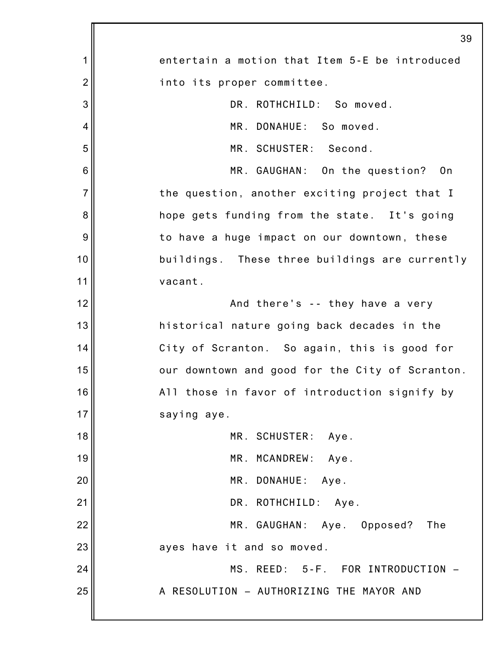|                | 39                                              |
|----------------|-------------------------------------------------|
| 1              | entertain a motion that Item 5-E be introduced  |
| $\overline{2}$ | into its proper committee.                      |
| 3              | DR. ROTHCHILD: So moved.                        |
| 4              | MR. DONAHUE: So moved.                          |
| 5              | MR. SCHUSTER: Second.                           |
| 6              | MR. GAUGHAN: On the question? On                |
| $\overline{7}$ | the question, another exciting project that I   |
| 8              | hope gets funding from the state. It's going    |
| 9              | to have a huge impact on our downtown, these    |
| 10             | buildings. These three buildings are currently  |
| 11             | vacant.                                         |
| 12             | And there's -- they have a very                 |
| 13             | historical nature going back decades in the     |
| 14             | City of Scranton. So again, this is good for    |
| 15             | our downtown and good for the City of Scranton. |
| 16             | All those in favor of introduction signify by   |
| 17             | saying aye.                                     |
| 18             | MR. SCHUSTER: Aye.                              |
| 19             | MR. MCANDREW:<br>Aye.                           |
| 20             | MR. DONAHUE:<br>Aye.                            |
| 21             | DR. ROTHCHILD: Aye.                             |
| 22             | MR. GAUGHAN: Aye. Opposed?<br>The               |
| 23             | ayes have it and so moved.                      |
| 24             | MS. REED: 5-F. FOR INTRODUCTION -               |
| 25             | A RESOLUTION - AUTHORIZING THE MAYOR AND        |
|                |                                                 |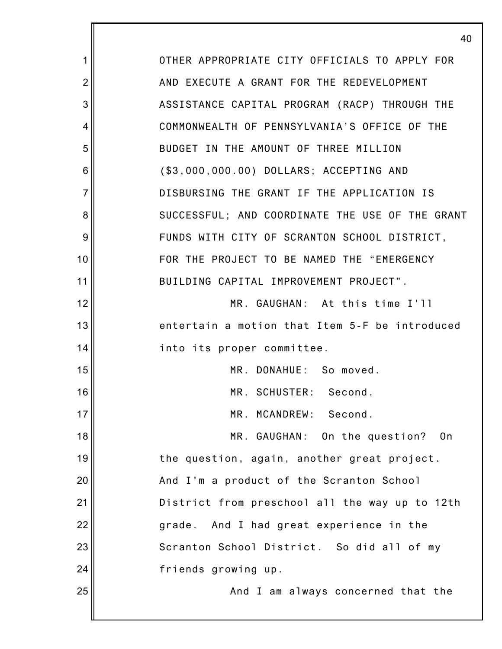|                | 40                                              |
|----------------|-------------------------------------------------|
| 1              | OTHER APPROPRIATE CITY OFFICIALS TO APPLY FOR   |
| $\overline{2}$ | AND EXECUTE A GRANT FOR THE REDEVELOPMENT       |
| 3              | ASSISTANCE CAPITAL PROGRAM (RACP) THROUGH THE   |
| 4              | COMMONWEALTH OF PENNSYLVANIA'S OFFICE OF THE    |
| 5              | BUDGET IN THE AMOUNT OF THREE MILLION           |
| 6              | (\$3,000,000.00) DOLLARS; ACCEPTING AND         |
| $\overline{7}$ | DISBURSING THE GRANT IF THE APPLICATION IS      |
| 8              | SUCCESSFUL; AND COORDINATE THE USE OF THE GRANT |
| 9              | FUNDS WITH CITY OF SCRANTON SCHOOL DISTRICT,    |
| 10             | FOR THE PROJECT TO BE NAMED THE "EMERGENCY      |
| 11             | BUILDING CAPITAL IMPROVEMENT PROJECT".          |
| 12             | MR. GAUGHAN: At this time I'll                  |
| 13             | entertain a motion that Item 5-F be introduced  |
| 14             | into its proper committee.                      |
| 15             | MR. DONAHUE: So moved.                          |
| 16             | MR. SCHUSTER:<br>Second.                        |
| 17             | MR. MCANDREW:<br>Second.                        |
| 18             | MR. GAUGHAN: On the question?<br>0n             |
| 19             | the question, again, another great project.     |
| 20             | And I'm a product of the Scranton School        |
| 21             | District from preschool all the way up to 12th  |
| 22             | And I had great experience in the<br>grade.     |
| 23             | Scranton School District. So did all of my      |
| 24             | friends growing up.                             |
| 25             | And I am always concerned that the              |
|                |                                                 |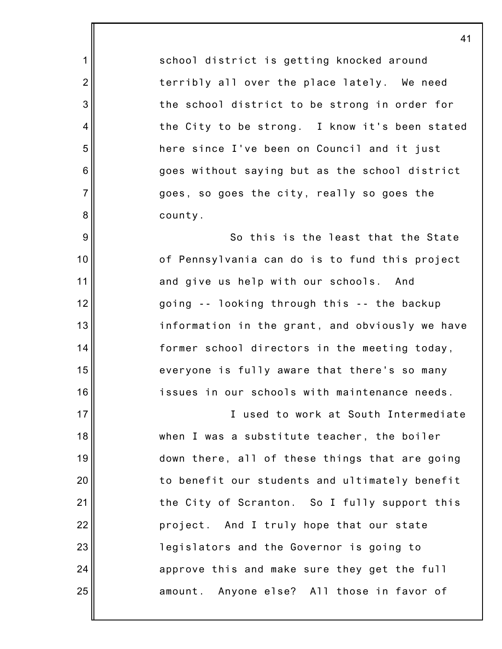school district is getting knocked around terribly all over the place lately. We need the school district to be strong in order for the City to be strong. I know it's been stated here since I've been on Council and it just goes without saying but as the school district goes, so goes the city, really so goes the county.

1

2

3

4

5

6

7

8

9

10

11

12

13

14

15

16

17

21

24

25

So this is the least that the State of Pennsylvania can do is to fund this project and give us help with our schools. And going -- looking through this -- the backup information in the grant, and obviously we have former school directors in the meeting today, everyone is fully aware that there's so many issues in our schools with maintenance needs.

18 19 20 22 23 I used to work at South Intermediate when I was a substitute teacher, the boiler down there, all of these things that are going to benefit our students and ultimately benefit the City of Scranton. So I fully support this project. And I truly hope that our state legislators and the Governor is going to approve this and make sure they get the full amount. Anyone else? All those in favor of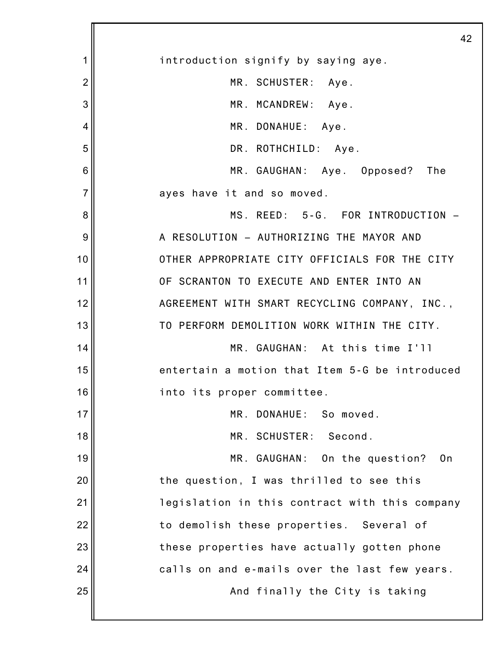|                | 42                                             |
|----------------|------------------------------------------------|
| 1              | introduction signify by saying aye.            |
| $\overline{2}$ | MR. SCHUSTER: Aye.                             |
| 3              | MR. MCANDREW: Aye.                             |
| 4              | MR. DONAHUE: Aye.                              |
| 5              | DR. ROTHCHILD: Aye.                            |
| 6              | MR. GAUGHAN: Aye. Opposed?<br>The              |
| $\overline{7}$ | ayes have it and so moved.                     |
| 8              | MS. REED: 5-G. FOR INTRODUCTION -              |
| 9              | A RESOLUTION - AUTHORIZING THE MAYOR AND       |
| 10             | OTHER APPROPRIATE CITY OFFICIALS FOR THE CITY  |
| 11             | OF SCRANTON TO EXECUTE AND ENTER INTO AN       |
| 12             | AGREEMENT WITH SMART RECYCLING COMPANY, INC.,  |
| 13             | TO PERFORM DEMOLITION WORK WITHIN THE CITY.    |
| 14             | MR. GAUGHAN: At this time I'll                 |
| 15             | entertain a motion that Item 5-G be introduced |
| 16             | into its proper committee.                     |
| 17             | MR. DONAHUE: So moved.                         |
| 18             | MR. SCHUSTER:<br>Second.                       |
| 19             | MR. GAUGHAN: On the question?<br>- On          |
| 20             | the question, I was thrilled to see this       |
| 21             | legislation in this contract with this company |
| 22             | to demolish these properties. Several of       |
| 23             | these properties have actually gotten phone    |
| 24             | calls on and e-mails over the last few years.  |
| 25             | And finally the City is taking                 |
|                |                                                |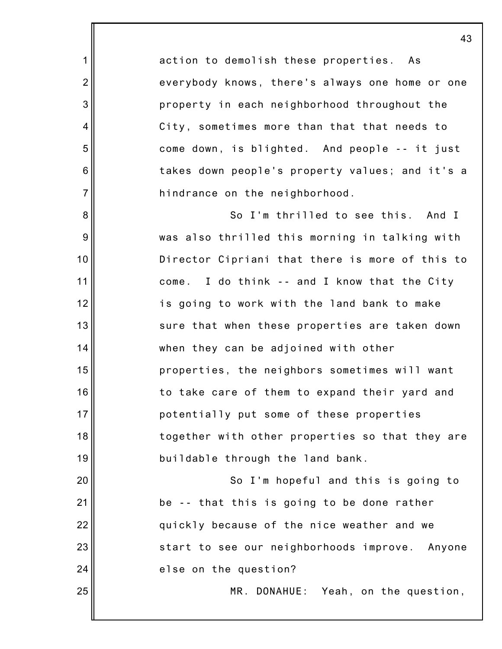action to demolish these properties. As everybody knows, there's always one home or one property in each neighborhood throughout the City, sometimes more than that that needs to come down, is blighted. And people -- it just takes down people's property values; and it's a hindrance on the neighborhood.

1

2

3

4

5

6

7

8

9

10

11

12

13

14

15

16

17

18

19

20

21

22

23

24

25

So I'm thrilled to see this. And I was also thrilled this morning in talking with Director Cipriani that there is more of this to come. I do think -- and I know that the City is going to work with the land bank to make sure that when these properties are taken down when they can be adjoined with other properties, the neighbors sometimes will want to take care of them to expand their yard and potentially put some of these properties together with other properties so that they are buildable through the land bank.

So I'm hopeful and this is going to be -- that this is going to be done rather quickly because of the nice weather and we start to see our neighborhoods improve. Anyone else on the question?

MR. DONAHUE: Yeah, on the question,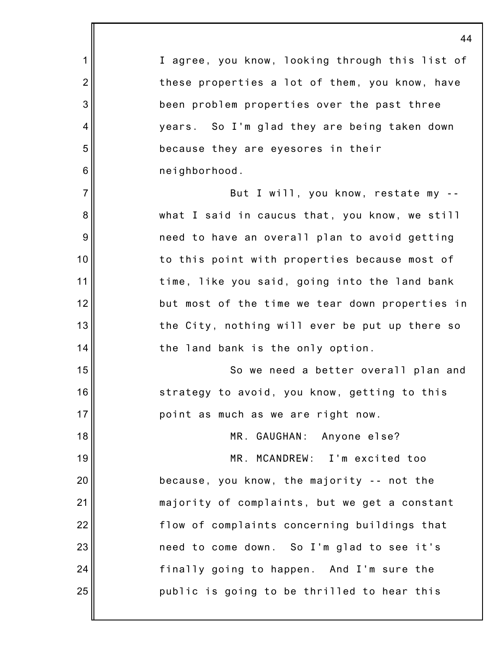|                 | 44                                              |
|-----------------|-------------------------------------------------|
| 1               | I agree, you know, looking through this list of |
| $\overline{2}$  | these properties a lot of them, you know, have  |
| 3               | been problem properties over the past three     |
| 4               | years. So I'm glad they are being taken down    |
| 5               | because they are eyesores in their              |
| $6\phantom{1}6$ | neighborhood.                                   |
| $\overline{7}$  | But I will, you know, restate my --             |
| 8               | what I said in caucus that, you know, we still  |
| $9\,$           | need to have an overall plan to avoid getting   |
| 10              | to this point with properties because most of   |
| 11              | time, like you said, going into the land bank   |
| 12              | but most of the time we tear down properties in |
| 13              | the City, nothing will ever be put up there so  |
| 14              | the land bank is the only option.               |
| 15              | So we need a better overall plan and            |
| 16              | strategy to avoid, you know, getting to this    |
| 17              | point as much as we are right now.              |
| 18              | MR. GAUGHAN: Anyone else?                       |
| 19              | MR. MCANDREW: I'm excited too                   |
| 20              | because, you know, the majority -- not the      |
| 21              | majority of complaints, but we get a constant   |
| 22              | flow of complaints concerning buildings that    |
| 23              | need to come down. So I'm glad to see it's      |
| 24              | finally going to happen. And I'm sure the       |
| 25              | public is going to be thrilled to hear this     |
|                 |                                                 |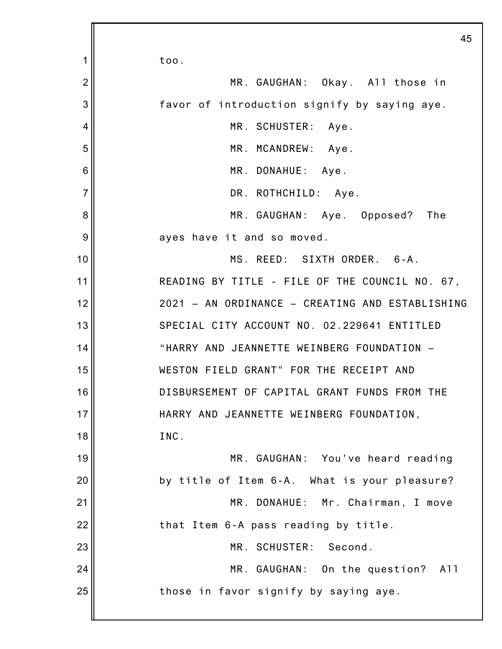1 2 3 4 5 6 7 8 9 10 11 12 13 14 15 16 17 18 19 20 21 22 23 24 25 too. MR. GAUGHAN: Okay. All those in favor of introduction signify by saying aye. MR. SCHUSTER: Aye. MR. MCANDREW: Aye. MR. DONAHUE: Aye. DR. ROTHCHILD: Aye. MR. GAUGHAN: Aye. Opposed? The ayes have it and so moved. MS. REED: SIXTH ORDER. 6-A. READING BY TITLE - FILE OF THE COUNCIL NO. 67, 2021 – AN ORDINANCE – CREATING AND ESTABLISHING SPECIAL CITY ACCOUNT NO. 02.229641 ENTITLED "HARRY AND JEANNETTE WEINBERG FOUNDATION – WESTON FIELD GRANT" FOR THE RECEIPT AND DISBURSEMENT OF CAPITAL GRANT FUNDS FROM THE HARRY AND JEANNETTE WEINBERG FOUNDATION, INC. MR. GAUGHAN: You've heard reading by title of Item 6-A. What is your pleasure? MR. DONAHUE: Mr. Chairman, I move that Item 6-A pass reading by title. MR. SCHUSTER: Second. MR. GAUGHAN: On the question? All those in favor signify by saying aye.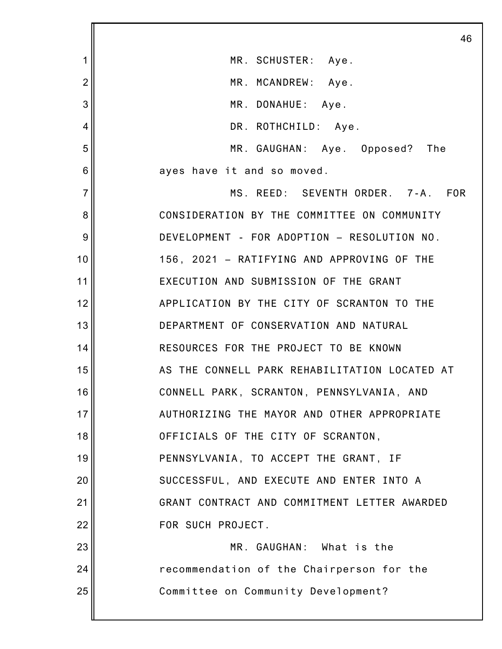|                | 46                                            |
|----------------|-----------------------------------------------|
| 1              | MR. SCHUSTER: Aye.                            |
| $\overline{2}$ | MR. MCANDREW: Aye.                            |
| 3              | MR. DONAHUE: Aye.                             |
| 4              | DR. ROTHCHILD: Aye.                           |
| 5              | MR. GAUGHAN: Aye. Opposed?<br>The             |
| 6              | ayes have it and so moved.                    |
| $\overline{7}$ | MS. REED: SEVENTH ORDER. 7-A. FOR             |
| 8              | CONSIDERATION BY THE COMMITTEE ON COMMUNITY   |
| 9              | DEVELOPMENT - FOR ADOPTION - RESOLUTION NO.   |
| 10             | 156, 2021 - RATIFYING AND APPROVING OF THE    |
| 11             | EXECUTION AND SUBMISSION OF THE GRANT         |
| 12             | APPLICATION BY THE CITY OF SCRANTON TO THE    |
| 13             | DEPARTMENT OF CONSERVATION AND NATURAL        |
| 14             | RESOURCES FOR THE PROJECT TO BE KNOWN         |
| 15             | AS THE CONNELL PARK REHABILITATION LOCATED AT |
| 16             | CONNELL PARK, SCRANTON, PENNSYLVANIA, AND     |
| 17             | AUTHORIZING THE MAYOR AND OTHER APPROPRIATE   |
| 18             | OFFICIALS OF THE CITY OF SCRANTON,            |
| 19             | PENNSYLVANIA, TO ACCEPT THE GRANT, IF         |
| 20             | SUCCESSFUL, AND EXECUTE AND ENTER INTO A      |
| 21             | GRANT CONTRACT AND COMMITMENT LETTER AWARDED  |
| 22             | FOR SUCH PROJECT.                             |
| 23             | MR. GAUGHAN: What is the                      |
| 24             | recommendation of the Chairperson for the     |
| 25             | Committee on Community Development?           |
|                |                                               |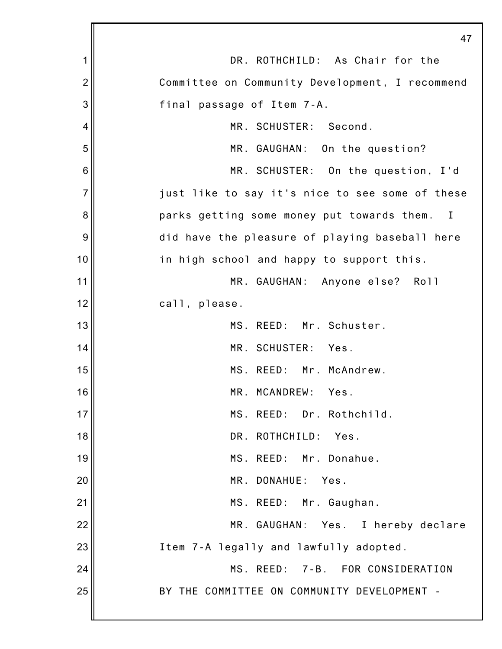|                | 47                                                         |
|----------------|------------------------------------------------------------|
| 1              | DR. ROTHCHILD: As Chair for the                            |
| $\overline{2}$ | Committee on Community Development, I recommend            |
| 3              | final passage of Item 7-A.                                 |
| 4              | MR. SCHUSTER: Second.                                      |
| 5              | MR. GAUGHAN: On the question?                              |
| 6              | MR. SCHUSTER: On the question, I'd                         |
| $\overline{7}$ | just like to say it's nice to see some of these            |
| 8              | parks getting some money put towards them.<br>$\mathbf{I}$ |
| 9              | did have the pleasure of playing baseball here             |
| 10             | in high school and happy to support this.                  |
| 11             | MR. GAUGHAN: Anyone else? Roll                             |
| 12             | call, please.                                              |
| 13             | MS. REED: Mr. Schuster.                                    |
| 14             | MR. SCHUSTER: Yes.                                         |
| 15             | MS. REED: Mr. McAndrew.                                    |
| 16             | MR. MCANDREW:<br>Yes.                                      |
| 17             | MS. REED: Dr. Rothchild.                                   |
| 18             | DR. ROTHCHILD: Yes.                                        |
| 19             | MS. REED: Mr. Donahue.                                     |
| 20             | MR. DONAHUE:<br>Yes.                                       |
| 21             | MS. REED: Mr. Gaughan.                                     |
| 22             | MR. GAUGHAN: Yes. I hereby declare                         |
| 23             | Item 7-A legally and lawfully adopted.                     |
| 24             | MS. REED: 7-B. FOR CONSIDERATION                           |
| 25             | BY THE COMMITTEE ON COMMUNITY DEVELOPMENT -                |
|                |                                                            |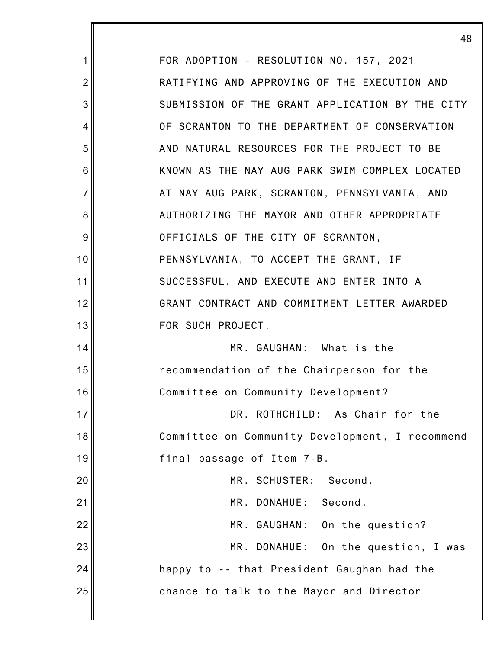|                | 48                                              |
|----------------|-------------------------------------------------|
| 1              | FOR ADOPTION - RESOLUTION NO. 157, 2021 -       |
| $\overline{2}$ | RATIFYING AND APPROVING OF THE EXECUTION AND    |
| 3              | SUBMISSION OF THE GRANT APPLICATION BY THE CITY |
| 4              | OF SCRANTON TO THE DEPARTMENT OF CONSERVATION   |
| 5              | AND NATURAL RESOURCES FOR THE PROJECT TO BE     |
| 6              | KNOWN AS THE NAY AUG PARK SWIM COMPLEX LOCATED  |
| $\overline{7}$ | AT NAY AUG PARK, SCRANTON, PENNSYLVANIA, AND    |
| 8              | AUTHORIZING THE MAYOR AND OTHER APPROPRIATE     |
| 9              | OFFICIALS OF THE CITY OF SCRANTON,              |
| 10             | PENNSYLVANIA, TO ACCEPT THE GRANT, IF           |
| 11             | SUCCESSFUL, AND EXECUTE AND ENTER INTO A        |
| 12             | GRANT CONTRACT AND COMMITMENT LETTER AWARDED    |
| 13             | FOR SUCH PROJECT.                               |
| 14             | MR. GAUGHAN: What is the                        |
| 15             | recommendation of the Chairperson for the       |
| 16             | Committee on Community Development?             |
| 17             | DR. ROTHCHILD: As Chair for the                 |
| 18             | Committee on Community Development, I recommend |
| 19             | final passage of Item 7-B.                      |
| 20             | MR. SCHUSTER:<br>Second.                        |
| 21             | MR. DONAHUE: Second.                            |
| 22             | MR. GAUGHAN: On the question?                   |
| 23             | MR. DONAHUE: On the question, I was             |
| 24             | happy to -- that President Gaughan had the      |
| 25             | chance to talk to the Mayor and Director        |
|                |                                                 |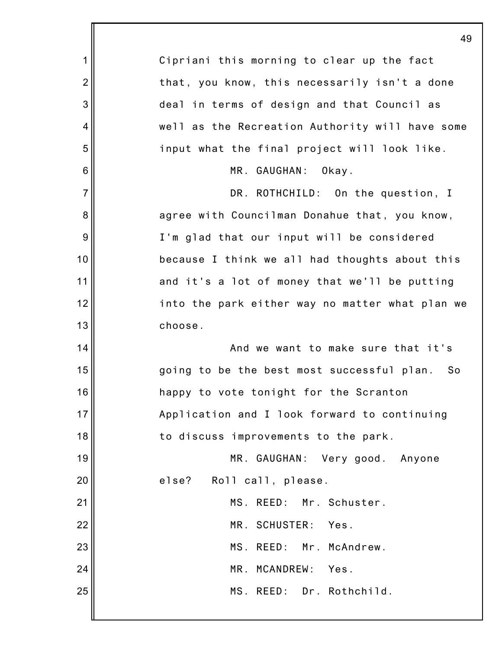|                 | 49                                               |
|-----------------|--------------------------------------------------|
| 1               | Cipriani this morning to clear up the fact       |
| $\overline{2}$  | that, you know, this necessarily isn't a done    |
| 3               | deal in terms of design and that Council as      |
| 4               | well as the Recreation Authority will have some  |
| 5               | input what the final project will look like.     |
| $6\phantom{1}6$ | MR. GAUGHAN:<br>Okay.                            |
| $\overline{7}$  | DR. ROTHCHILD: On the question, I                |
| 8               | agree with Councilman Donahue that, you know,    |
| $\overline{9}$  | I'm glad that our input will be considered       |
| 10              | because I think we all had thoughts about this   |
| 11              | and it's a lot of money that we'll be putting    |
| 12              | into the park either way no matter what plan we  |
| 13              | choose.                                          |
| 14              | And we want to make sure that it's               |
| 15              | going to be the best most successful plan.<br>So |
| 16              | happy to vote tonight for the Scranton           |
| 17              | Application and I look forward to continuing     |
| 18              | to discuss improvements to the park.             |
| 19              | MR. GAUGHAN: Very good. Anyone                   |
| 20              | else? Roll call, please.                         |
| 21              | MS. REED: Mr. Schuster.                          |
| 22              | MR. SCHUSTER: Yes.                               |
| 23              | MS. REED: Mr. McAndrew.                          |
| 24              | MR. MCANDREW:<br>Yes.                            |
| 25              | MS. REED: Dr. Rothchild.                         |
|                 |                                                  |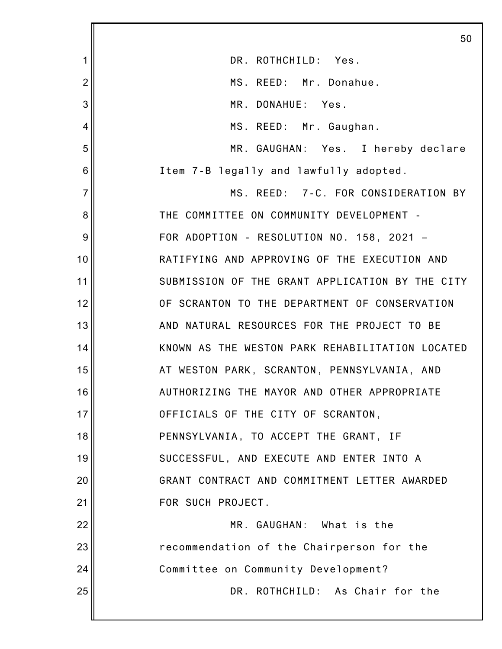|                | 50                                              |
|----------------|-------------------------------------------------|
| 1              | DR. ROTHCHILD: Yes.                             |
| $\overline{c}$ | MS. REED: Mr. Donahue.                          |
| 3              | MR. DONAHUE: Yes.                               |
| 4              | MS. REED: Mr. Gaughan.                          |
| 5              | MR. GAUGHAN: Yes. I hereby declare              |
| 6              | Item 7-B legally and lawfully adopted.          |
| $\overline{7}$ | MS. REED: 7-C. FOR CONSIDERATION BY             |
| 8              | THE COMMITTEE ON COMMUNITY DEVELOPMENT -        |
| 9              | FOR ADOPTION - RESOLUTION NO. 158, 2021 -       |
| 10             | RATIFYING AND APPROVING OF THE EXECUTION AND    |
| 11             | SUBMISSION OF THE GRANT APPLICATION BY THE CITY |
| 12             | OF SCRANTON TO THE DEPARTMENT OF CONSERVATION   |
| 13             | AND NATURAL RESOURCES FOR THE PROJECT TO BE     |
| 14             | KNOWN AS THE WESTON PARK REHABILITATION LOCATED |
| 15             | AT WESTON PARK, SCRANTON, PENNSYLVANIA, AND     |
| 16             | AUTHORIZING THE MAYOR AND OTHER APPROPRIATE     |
| 17             | OFFICIALS OF THE CITY OF SCRANTON,              |
| 18             | PENNSYLVANIA, TO ACCEPT THE GRANT, IF           |
| 19             | SUCCESSFUL, AND EXECUTE AND ENTER INTO A        |
| 20             | GRANT CONTRACT AND COMMITMENT LETTER AWARDED    |
| 21             | FOR SUCH PROJECT.                               |
| 22             | MR. GAUGHAN: What is the                        |
| 23             | recommendation of the Chairperson for the       |
| 24             | Committee on Community Development?             |
| 25             | DR. ROTHCHILD: As Chair for the                 |
|                |                                                 |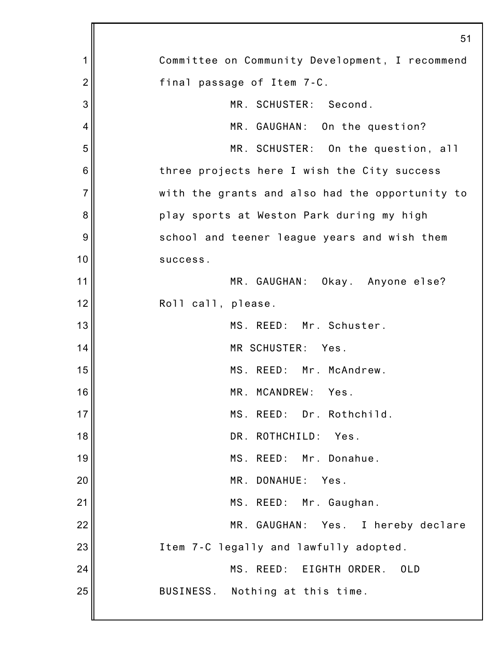|                | 51                                              |
|----------------|-------------------------------------------------|
| 1              | Committee on Community Development, I recommend |
| $\overline{2}$ | final passage of Item 7-C.                      |
| 3              | MR. SCHUSTER: Second.                           |
| 4              | MR. GAUGHAN: On the question?                   |
| 5              | MR. SCHUSTER: On the question, all              |
| 6              | three projects here I wish the City success     |
| $\overline{7}$ | with the grants and also had the opportunity to |
| 8              | play sports at Weston Park during my high       |
| 9              | school and teener league years and wish them    |
| 10             | success.                                        |
| 11             | MR. GAUGHAN: Okay. Anyone else?                 |
| 12             | Roll call, please.                              |
| 13             | MS. REED: Mr. Schuster.                         |
| 14             | MR SCHUSTER: Yes.                               |
| 15             | MS. REED: Mr. McAndrew.                         |
| 16             | MR. MCANDREW: Yes.                              |
| 17             | MS. REED: Dr. Rothchild.                        |
| 18             | DR. ROTHCHILD: Yes.                             |
| 19             | MS. REED: Mr. Donahue.                          |
| 20             | MR. DONAHUE:<br>Yes.                            |
| 21             | MS. REED: Mr. Gaughan.                          |
| 22             | MR. GAUGHAN: Yes. I hereby declare              |
| 23             | Item 7-C legally and lawfully adopted.          |
| 24             | MS. REED: EIGHTH ORDER.<br>0LD                  |
| 25             | BUSINESS. Nothing at this time.                 |
|                |                                                 |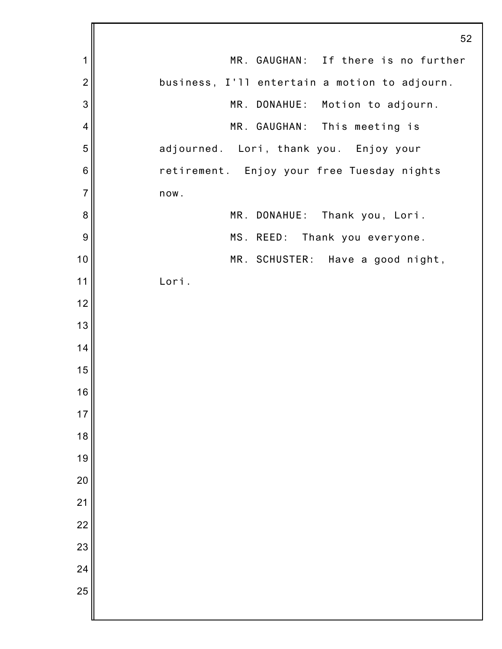|                | 52                                            |
|----------------|-----------------------------------------------|
| 1              | MR. GAUGHAN: If there is no further           |
| $\overline{2}$ | business, I'll entertain a motion to adjourn. |
| 3              | MR. DONAHUE: Motion to adjourn.               |
| $\overline{4}$ | MR. GAUGHAN: This meeting is                  |
| 5              | adjourned. Lori, thank you. Enjoy your        |
| 6              | retirement. Enjoy your free Tuesday nights    |
| $\overline{7}$ | now.                                          |
| 8              | MR. DONAHUE: Thank you, Lori.                 |
| 9              | MS. REED: Thank you everyone.                 |
| 10             | MR. SCHUSTER: Have a good night,              |
| 11             | Lori.                                         |
| 12             |                                               |
| 13             |                                               |
| 14             |                                               |
| 15             |                                               |
| 16             |                                               |
| 17             |                                               |
| 18             |                                               |
| 19             |                                               |
| 20             |                                               |
| 21             |                                               |
| 22             |                                               |
| 23             |                                               |
| 24             |                                               |
| 25             |                                               |
|                |                                               |